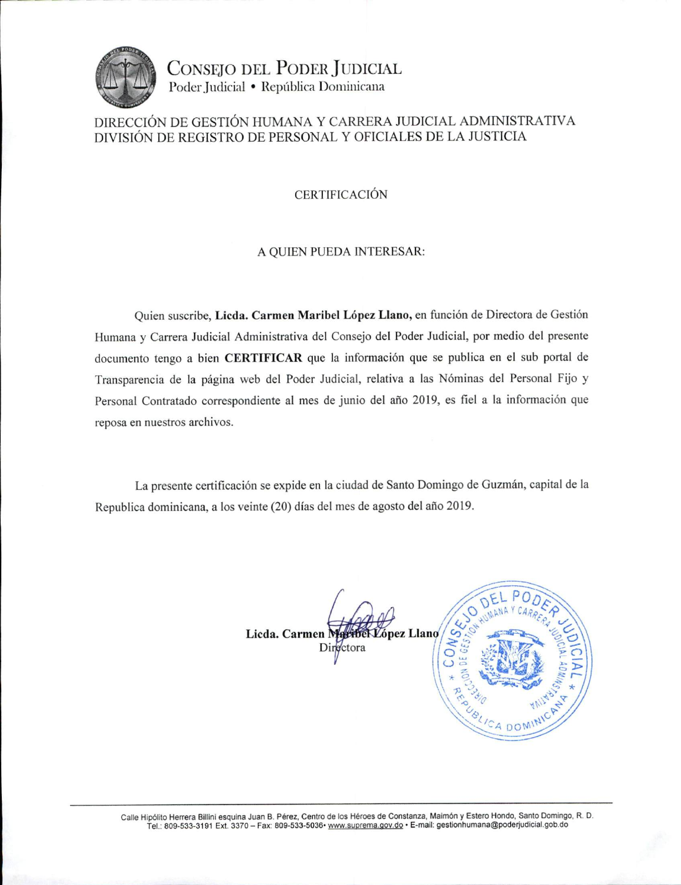

CONSEJO DEL PODER JUDICIAL Poder Judicial · República Dominicana

### DIRECCIÓN DE GESTIÓN HUMANA Y CARRERA JUDICIAL ADMINISTRATIVA DIVISIÓN DE REGISTRO DE PERSONAL Y OFICIALES DE LA JUSTICIA

#### **CERTIFICACIÓN**

#### A QUIEN PUEDA INTERESAR:

Quien suscribe, Licda. Carmen Maribel López Llano, en función de Directora de Gestión Humana y Carrera Judicial Administrativa del Consejo del Poder Judicial, por medio del presente documento tengo a bien CERTIFICAR que la información que se publica en el sub portal de Transparencia de la página web del Poder Judicial, relativa a las Nóminas del Personal Fijo y Personal Contratado correspondiente al mes de junio del año 2019, es fiel a la información que reposa en nuestros archivos.

La presente certificación se expide en la ciudad de Santo Domingo de Guzmán, capital de la Republica dominicana, a los veinte (20) días del mes de agosto del año 2019.

> bel López Llano Licda. Carmen M Directora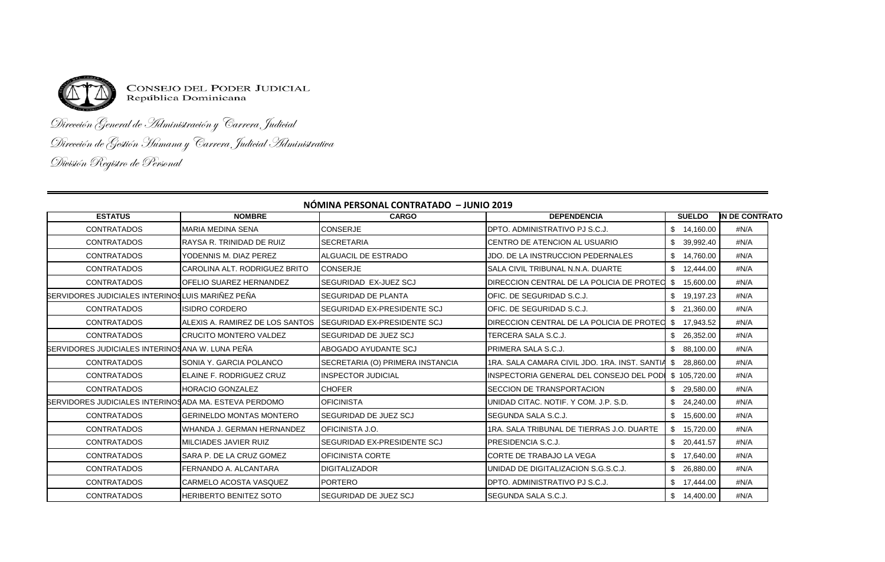

**CONSEJO DEL PODER JUDICIAL** República Dominicana

# Dirección General de Administración y Carrera Judicial Dirección de Gestión Humana y Carrera Judicial Administrativa División Registro de Personal

|                                                       | NUMINA PERSUNAL CUNTRATADO – JUNIO 2019 |                                     |                                                        |                  |                |  |  |  |
|-------------------------------------------------------|-----------------------------------------|-------------------------------------|--------------------------------------------------------|------------------|----------------|--|--|--|
| <b>ESTATUS</b>                                        | <b>NOMBRE</b>                           | <b>CARGO</b>                        | <b>DEPENDENCIA</b>                                     | <b>SUELDO</b>    | IN DE CONTRATO |  |  |  |
| <b>CONTRATADOS</b>                                    | <b>MARIA MEDINA SENA</b>                | <b>CONSERJE</b>                     | DPTO, ADMINISTRATIVO PJ S.C.J.                         | \$14,160.00      | #N/A           |  |  |  |
| <b>CONTRATADOS</b>                                    | RAYSA R. TRINIDAD DE RUIZ               | <b>SECRETARIA</b>                   | CENTRO DE ATENCION AL USUARIO                          | \$.<br>39,992.40 | #N/A           |  |  |  |
| <b>CONTRATADOS</b>                                    | YODENNIS M. DIAZ PEREZ                  | <b>ALGUACIL DE ESTRADO</b>          | JDO. DE LA INSTRUCCION PEDERNALES                      | \$14,760.00      | #N/A           |  |  |  |
| <b>CONTRATADOS</b>                                    | CAROLINA ALT. RODRIGUEZ BRITO           | <b>CONSERJE</b>                     | SALA CIVIL TRIBUNAL N.N.A. DUARTE                      | \$12,444.00      | #N/A           |  |  |  |
| <b>CONTRATADOS</b>                                    | <b>OFELIO SUAREZ HERNANDEZ</b>          | SEGURIDAD EX-JUEZ SCJ               | DIRECCION CENTRAL DE LA POLICIA DE PROTEC              | \$.<br>15,600.00 | #N/A           |  |  |  |
| SERVIDORES JUDICIALES INTERINOSLUIS MARIÑEZ PEÑA      |                                         | <b>SEGURIDAD DE PLANTA</b>          | OFIC. DE SEGURIDAD S.C.J.                              | 19,197.23        | #N/A           |  |  |  |
| <b>CONTRATADOS</b>                                    | <b>ISIDRO CORDERO</b>                   | SEGURIDAD EX-PRESIDENTE SCJ         | OFIC. DE SEGURIDAD S.C.J.                              | 21,360.00        | #N/A           |  |  |  |
| <b>CONTRATADOS</b>                                    | ALEXIS A. RAMIREZ DE LOS SANTOS         | <b>ISEGURIDAD EX-PRESIDENTE SCJ</b> | DIRECCION CENTRAL DE LA POLICIA DE PROTECIS            | 17.943.52        | #N/A           |  |  |  |
| <b>CONTRATADOS</b>                                    | <b>CRUCITO MONTERO VALDEZ</b>           | <b>SEGURIDAD DE JUEZ SCJ</b>        | TERCERA SALA S.C.J.                                    | 26,352.00        | #N/A           |  |  |  |
| SERVIDORES JUDICIALES INTERINOSANA W. LUNA PEÑA       |                                         | ABOGADO AYUDANTE SCJ                | PRIMERA SALA S.C.J.                                    | 88,100.00        | #N/A           |  |  |  |
| <b>CONTRATADOS</b>                                    | SONIA Y. GARCIA POLANCO                 | SECRETARIA (O) PRIMERA INSTANCIA    | 1RA, SALA CAMARA CIVIL JDO, 1RA, INST, SANTIA \$       | 28,860.00        | #N/A           |  |  |  |
| <b>CONTRATADOS</b>                                    | ELAINE F. RODRIGUEZ CRUZ                | INSPECTOR JUDICIAL                  | INSPECTORIA GENERAL DEL CONSEJO DEL PODI \$ 105,720.00 |                  | #N/A           |  |  |  |
| <b>CONTRATADOS</b>                                    | <b>HORACIO GONZALEZ</b>                 | <b>CHOFER</b>                       | SECCION DE TRANSPORTACION                              | 29,580.00        | #N/A           |  |  |  |
| SERVIDORES JUDICIALES INTERINOSADA MA. ESTEVA PERDOMO |                                         | <b>OFICINISTA</b>                   | UNIDAD CITAC, NOTIF, Y COM, J.P. S.D.                  | 24,240.00        | #N/A           |  |  |  |
| <b>CONTRATADOS</b>                                    | <b>GERINELDO MONTAS MONTERO</b>         | SEGURIDAD DE JUEZ SCJ               | SEGUNDA SALA S.C.J.                                    | \$15,600.00      | #N/A           |  |  |  |
| <b>CONTRATADOS</b>                                    | WHANDA J. GERMAN HERNANDEZ              | OFICINISTA J.O.                     | 1RA, SALA TRIBUNAL DE TIERRAS J.O. DUARTE              | £.<br>15,720.00  | #N/A           |  |  |  |
| <b>CONTRATADOS</b>                                    | MILCIADES JAVIER RUIZ                   | SEGURIDAD EX-PRESIDENTE SCJ         | <b>PRESIDENCIA S.C.J.</b>                              | 20,441.57        | #N/A           |  |  |  |
| <b>CONTRATADOS</b>                                    | SARA P. DE LA CRUZ GOMEZ                | OFICINISTA CORTE                    | CORTE DE TRABAJO LA VEGA                               | \$17,640.00      | #N/A           |  |  |  |
| <b>CONTRATADOS</b>                                    | FERNANDO A. ALCANTARA                   | <b>DIGITALIZADOR</b>                | UNIDAD DE DIGITALIZACION S.G.S.C.J.                    | 26,880.00        | #N/A           |  |  |  |
| <b>CONTRATADOS</b>                                    | CARMELO ACOSTA VASQUEZ                  | <b>PORTERO</b>                      | DPTO. ADMINISTRATIVO PJ S.C.J.                         | £.<br>17,444.00  | #N/A           |  |  |  |
| <b>CONTRATADOS</b>                                    | <b>HERIBERTO BENITEZ SOTO</b>           | <b>SEGURIDAD DE JUEZ SCJ</b>        | SEGUNDA SALA S.C.J.                                    | \$<br>14,400.00  | #N/A           |  |  |  |

## **NÓMINA PERSONAL CONTRATADO – JUNIO 2019**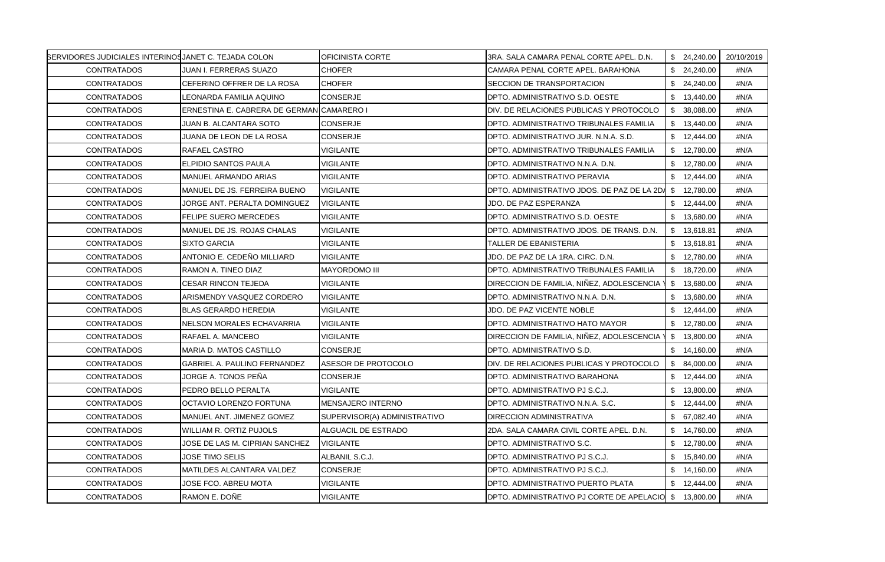| BERVIDORES JUDICIALES INTERINOSJANET C. TEJADA COLON |                                           | OFICINISTA CORTE             | 3RA, SALA CAMARA PENAL CORTE APEL, D.N.                | \$24,240.00  | 20/10/2019 |
|------------------------------------------------------|-------------------------------------------|------------------------------|--------------------------------------------------------|--------------|------------|
| <b>CONTRATADOS</b>                                   | JUAN I. FERRERAS SUAZO                    | <b>CHOFER</b>                | CAMARA PENAL CORTE APEL. BARAHONA                      | \$24,240.00  | #N/A       |
| <b>CONTRATADOS</b>                                   | CEFERINO OFFRER DE LA ROSA                | <b>CHOFER</b>                | <b>ISECCION DE TRANSPORTACION</b>                      | \$24,240.00  | #N/A       |
| <b>CONTRATADOS</b>                                   | LEONARDA FAMILIA AQUINO                   | <b>CONSERJE</b>              | DPTO. ADMINISTRATIVO S.D. OESTE                        | \$13,440.00  | #N/A       |
| <b>CONTRATADOS</b>                                   | ERNESTINA E. CABRERA DE GERMAN CAMARERO I |                              | DIV. DE RELACIONES PUBLICAS Y PROTOCOLO                | \$ 38,088,00 | #N/A       |
| <b>CONTRATADOS</b>                                   | JUAN B. ALCANTARA SOTO                    | <b>CONSERJE</b>              | DPTO. ADMINISTRATIVO TRIBUNALES FAMILIA                | \$13,440.00  | #N/A       |
| <b>CONTRATADOS</b>                                   | JUANA DE LEON DE LA ROSA                  | <b>CONSERJE</b>              | DPTO. ADMINISTRATIVO JUR. N.N.A. S.D.                  | \$12,444.00  | #N/A       |
| <b>CONTRATADOS</b>                                   | <b>RAFAEL CASTRO</b>                      | <b>VIGILANTE</b>             | DPTO. ADMINISTRATIVO TRIBUNALES FAMILIA                | \$12,780.00  | #N/A       |
| <b>CONTRATADOS</b>                                   | ELPIDIO SANTOS PAULA                      | <b>VIGILANTE</b>             | DPTO. ADMINISTRATIVO N.N.A. D.N.                       | \$12,780.00  | #N/A       |
| <b>CONTRATADOS</b>                                   | MANUEL ARMANDO ARIAS                      | <b>VIGILANTE</b>             | DPTO. ADMINISTRATIVO PERAVIA                           | \$12,444.00  | #N/A       |
| <b>CONTRATADOS</b>                                   | MANUEL DE JS. FERREIRA BUENO              | <b>VIGILANTE</b>             | DPTO. ADMINISTRATIVO JDOS. DE PAZ DE LA 2DA            | \$ 12,780.00 | #N/A       |
| <b>CONTRATADOS</b>                                   | JORGE ANT. PERALTA DOMINGUEZ              | <b>VIGILANTE</b>             | JDO. DE PAZ ESPERANZA                                  | \$12,444.00  | #N/A       |
| <b>CONTRATADOS</b>                                   | <b>FELIPE SUERO MERCEDES</b>              | <b>VIGILANTE</b>             | DPTO. ADMINISTRATIVO S.D. OESTE                        | \$13,680.00  | #N/A       |
| <b>CONTRATADOS</b>                                   | MANUEL DE JS. ROJAS CHALAS                | <b>VIGILANTE</b>             | DPTO. ADMINISTRATIVO JDOS. DE TRANS. D.N.              | \$13,618.81  | #N/A       |
| <b>CONTRATADOS</b>                                   | <b>SIXTO GARCIA</b>                       | <b>VIGILANTE</b>             | TALLER DE EBANISTERIA                                  | \$13,618.81  | #N/A       |
| <b>CONTRATADOS</b>                                   | ANTONIO E. CEDEÑO MILLIARD                | <b>VIGILANTE</b>             | JDO. DE PAZ DE LA 1RA. CIRC. D.N.                      | \$12,780.00  | #N/A       |
| <b>CONTRATADOS</b>                                   | RAMON A. TINEO DIAZ                       | <b>MAYORDOMO III</b>         | DPTO. ADMINISTRATIVO TRIBUNALES FAMILIA                | \$18,720.00  | #N/A       |
| <b>CONTRATADOS</b>                                   | <b>CESAR RINCON TEJEDA</b>                | <b>VIGILANTE</b>             | DIRECCION DE FAMILIA, NIÑEZ, ADOLESCENCIA '            | \$13,680.00  | #N/A       |
| <b>CONTRATADOS</b>                                   | ARISMENDY VASQUEZ CORDERO                 | <b>VIGILANTE</b>             | DPTO. ADMINISTRATIVO N.N.A. D.N.                       | \$13,680.00  | #N/A       |
| <b>CONTRATADOS</b>                                   | <b>BLAS GERARDO HEREDIA</b>               | <b>VIGILANTE</b>             | JDO. DE PAZ VICENTE NOBLE                              | \$12,444.00  | #N/A       |
| <b>CONTRATADOS</b>                                   | NELSON MORALES ECHAVARRIA                 | VIGILANTE                    | DPTO. ADMINISTRATIVO HATO MAYOR                        | \$12,780.00  | #N/A       |
| <b>CONTRATADOS</b>                                   | RAFAEL A. MANCEBO                         | <b>VIGILANTE</b>             | DIRECCION DE FAMILIA, NIÑEZ, ADOLESCENCIA              | \$13,800.00  | #N/A       |
| <b>CONTRATADOS</b>                                   | MARIA D. MATOS CASTILLO                   | <b>CONSERJE</b>              | DPTO. ADMINISTRATIVO S.D.                              | \$14,160.00  | #N/A       |
| <b>CONTRATADOS</b>                                   | GABRIEL A. PAULINO FERNANDEZ              | ASESOR DE PROTOCOLO          | DIV. DE RELACIONES PUBLICAS Y PROTOCOLO                | \$84,000.00  | #N/A       |
| <b>CONTRATADOS</b>                                   | JORGE A. TONOS PEÑA                       | CONSERJE                     | DPTO. ADMINISTRATIVO BARAHONA                          | \$12,444.00  | #N/A       |
| <b>CONTRATADOS</b>                                   | PEDRO BELLO PERALTA                       | VIGILANTE                    | DPTO. ADMINISTRATIVO PJ S.C.J.                         | \$13,800.00  | #N/A       |
| <b>CONTRATADOS</b>                                   | OCTAVIO LORENZO FORTUNA                   | <b>MENSAJERO INTERNO</b>     | DPTO. ADMINISTRATIVO N.N.A. S.C.                       | \$12,444.00  | #N/A       |
| <b>CONTRATADOS</b>                                   | MANUEL ANT. JIMENEZ GOMEZ                 | SUPERVISOR(A) ADMINISTRATIVO | <b>DIRECCION ADMINISTRATIVA</b>                        | \$67,082.40  | #N/A       |
| <b>CONTRATADOS</b>                                   | WILLIAM R. ORTIZ PUJOLS                   | ALGUACIL DE ESTRADO          | 2DA. SALA CAMARA CIVIL CORTE APEL. D.N.                | \$14,760.00  | #N/A       |
| <b>CONTRATADOS</b>                                   | JOSE DE LAS M. CIPRIAN SANCHEZ            | <b>VIGILANTE</b>             | DPTO. ADMINISTRATIVO S.C.                              | \$12,780.00  | #N/A       |
| <b>CONTRATADOS</b>                                   | JOSE TIMO SELIS                           | ALBANIL S.C.J.               | DPTO. ADMINISTRATIVO PJ S.C.J.                         | \$15,840.00  | #N/A       |
| <b>CONTRATADOS</b>                                   | MATILDES ALCANTARA VALDEZ                 | <b>CONSERJE</b>              | DPTO. ADMINISTRATIVO PJ S.C.J.                         | \$14,160.00  | #N/A       |
| <b>CONTRATADOS</b>                                   | JOSE FCO. ABREU MOTA                      | VIGILANTE                    | DPTO. ADMINISTRATIVO PUERTO PLATA                      | \$12,444.00  | #N/A       |
| <b>CONTRATADOS</b>                                   | RAMON E. DOÑE                             | <b>VIGILANTE</b>             | DPTO. ADMINISTRATIVO PJ CORTE DE APELACIO \$ 13,800.00 |              | #N/A       |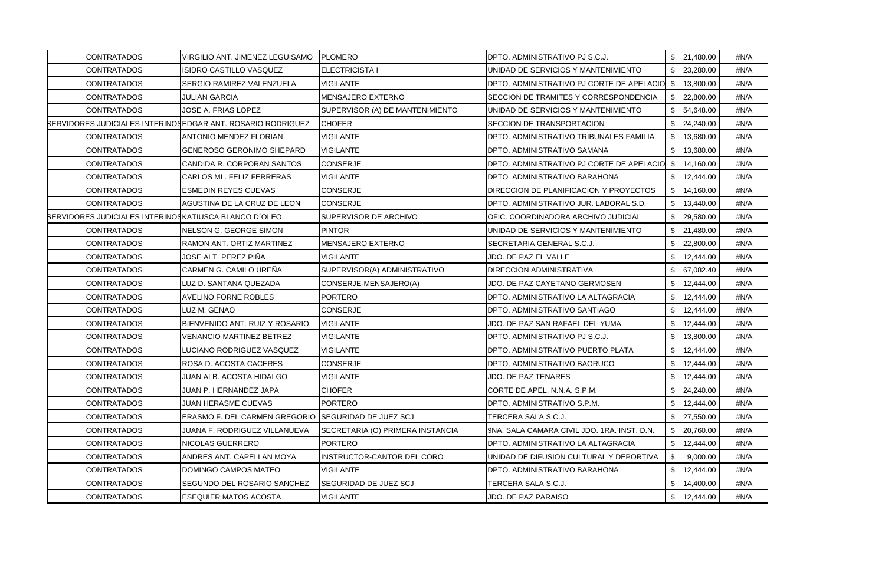| <b>CONTRATADOS</b>                                           | VIRGILIO ANT. JIMENEZ LEGUISAMO                             | <b>PLOMERO</b>                   | DPTO. ADMINISTRATIVO PJ S.C.J.                         | \$21,480.00     | #N/A |
|--------------------------------------------------------------|-------------------------------------------------------------|----------------------------------|--------------------------------------------------------|-----------------|------|
| <b>CONTRATADOS</b>                                           | ISIDRO CASTILLO VASQUEZ                                     | ELECTRICISTA I                   | UNIDAD DE SERVICIOS Y MANTENIMIENTO                    | \$23,280.00     | #N/A |
| <b>CONTRATADOS</b>                                           | SERGIO RAMIREZ VALENZUELA                                   | <b>VIGILANTE</b>                 | DPTO. ADMINISTRATIVO PJ CORTE DE APELACIO              | \$ 13,800.00    | #N/A |
| <b>CONTRATADOS</b>                                           | JULIAN GARCIA                                               | <b>MENSAJERO EXTERNO</b>         | SECCION DE TRAMITES Y CORRESPONDENCIA                  | \$22,800.00     | #N/A |
| <b>CONTRATADOS</b>                                           | JOSE A. FRIAS LOPEZ                                         | SUPERVISOR (A) DE MANTENIMIENTO  | UNIDAD DE SERVICIOS Y MANTENIMIENTO                    | \$54,648.00     | #N/A |
|                                                              | BERVIDORES JUDICIALES INTERINOSEDGAR ANT. ROSARIO RODRIGUEZ | <b>CHOFER</b>                    | SECCION DE TRANSPORTACION                              | \$24,240.00     | #N/A |
| <b>CONTRATADOS</b>                                           | ANTONIO MENDEZ FLORIAN                                      | VIGILANTE                        | DPTO. ADMINISTRATIVO TRIBUNALES FAMILIA                | \$13,680.00     | #N/A |
| <b>CONTRATADOS</b>                                           | GENEROSO GERONIMO SHEPARD                                   | <b>VIGILANTE</b>                 | DPTO. ADMINISTRATIVO SAMANA                            | \$13,680.00     | #N/A |
| <b>CONTRATADOS</b>                                           | CANDIDA R. CORPORAN SANTOS                                  | <b>CONSERJE</b>                  | DPTO. ADMINISTRATIVO PJ CORTE DE APELACIO \$ 14,160.00 |                 | #N/A |
| <b>CONTRATADOS</b>                                           | CARLOS ML. FELIZ FERRERAS                                   | VIGILANTE                        | DPTO. ADMINISTRATIVO BARAHONA                          | \$12,444.00     | #N/A |
| <b>CONTRATADOS</b>                                           | <b>ESMEDIN REYES CUEVAS</b>                                 | CONSERJE                         | DIRECCION DE PLANIFICACION Y PROYECTOS                 | \$14,160.00     | #N/A |
| <b>CONTRATADOS</b>                                           | AGUSTINA DE LA CRUZ DE LEON                                 | <b>CONSERJE</b>                  | DPTO. ADMINISTRATIVO JUR. LABORAL S.D.                 | \$13,440.00     | #N/A |
| <b>SERVIDORES JUDICIALES INTERINOSKATIUSCA BLANCO D'OLEO</b> |                                                             | SUPERVISOR DE ARCHIVO            | OFIC. COORDINADORA ARCHIVO JUDICIAL                    | \$29,580.00     | #N/A |
| <b>CONTRATADOS</b>                                           | NELSON G. GEORGE SIMON                                      | <b>PINTOR</b>                    | UNIDAD DE SERVICIOS Y MANTENIMIENTO                    | \$21,480.00     | #N/A |
| <b>CONTRATADOS</b>                                           | RAMON ANT. ORTIZ MARTINEZ                                   | <b>MENSAJERO EXTERNO</b>         | SECRETARIA GENERAL S.C.J.                              | \$22,800.00     | #N/A |
| <b>CONTRATADOS</b>                                           | JOSE ALT. PEREZ PIÑA                                        | VIGILANTE                        | JDO. DE PAZ EL VALLE                                   | \$12,444.00     | #N/A |
| <b>CONTRATADOS</b>                                           | CARMEN G. CAMILO UREÑA                                      | SUPERVISOR(A) ADMINISTRATIVO     | DIRECCION ADMINISTRATIVA                               | \$67,082.40     | #N/A |
| <b>CONTRATADOS</b>                                           | LUZ D. SANTANA QUEZADA                                      | CONSERJE-MENSAJERO(A)            | JDO. DE PAZ CAYETANO GERMOSEN                          | \$12,444.00     | #N/A |
| <b>CONTRATADOS</b>                                           | <b>AVELINO FORNE ROBLES</b>                                 | <b>PORTERO</b>                   | DPTO. ADMINISTRATIVO LA ALTAGRACIA                     | \$12,444.00     | #N/A |
| <b>CONTRATADOS</b>                                           | LUZ M. GENAO                                                | <b>CONSERJE</b>                  | DPTO. ADMINISTRATIVO SANTIAGO                          | \$12,444.00     | #N/A |
| <b>CONTRATADOS</b>                                           | BIENVENIDO ANT. RUIZ Y ROSARIO                              | <b>VIGILANTE</b>                 | JDO. DE PAZ SAN RAFAEL DEL YUMA                        | \$12,444.00     | #N/A |
| <b>CONTRATADOS</b>                                           | <b>VENANCIO MARTINEZ BETREZ</b>                             | <b>VIGILANTE</b>                 | DPTO. ADMINISTRATIVO PJ S.C.J.                         | \$13,800.00     | #N/A |
| <b>CONTRATADOS</b>                                           | LUCIANO RODRIGUEZ VASQUEZ                                   | VIGILANTE                        | DPTO. ADMINISTRATIVO PUERTO PLATA                      | \$12,444.00     | #N/A |
| <b>CONTRATADOS</b>                                           | ROSA D. ACOSTA CACERES                                      | <b>CONSERJE</b>                  | DPTO. ADMINISTRATIVO BAORUCO                           | \$12,444.00     | #N/A |
| <b>CONTRATADOS</b>                                           | JUAN ALB. ACOSTA HIDALGO                                    | VIGILANTE                        | JDO. DE PAZ TENARES                                    | \$12,444.00     | #N/A |
| CONTRATADOS                                                  | JUAN P. HERNANDEZ JAPA                                      | <b>CHOFER</b>                    | CORTE DE APEL. N.N.A. S.P.M.                           | \$24,240.00     | #N/A |
| <b>CONTRATADOS</b>                                           | JUAN HERASME CUEVAS                                         | <b>PORTERO</b>                   | DPTO. ADMINISTRATIVO S.P.M.                            | \$12,444.00     | #N/A |
| <b>CONTRATADOS</b>                                           | ERASMO F. DEL CARMEN GREGORIO SEGURIDAD DE JUEZ SCJ         |                                  | TERCERA SALA S.C.J.                                    | \$27,550.00     | #N/A |
| <b>CONTRATADOS</b>                                           | JUANA F. RODRIGUEZ VILLANUEVA                               | SECRETARIA (O) PRIMERA INSTANCIA | 9NA. SALA CAMARA CIVIL JDO. 1RA. INST. D.N.            | \$20,760.00     | #N/A |
| <b>CONTRATADOS</b>                                           | NICOLAS GUERRERO                                            | <b>PORTERO</b>                   | DPTO. ADMINISTRATIVO LA ALTAGRACIA                     | \$12,444.00     | #N/A |
| <b>CONTRATADOS</b>                                           | ANDRES ANT. CAPELLAN MOYA                                   | INSTRUCTOR-CANTOR DEL CORO       | UNIDAD DE DIFUSION CULTURAL Y DEPORTIVA                | \$.<br>9,000.00 | #N/A |
| <b>CONTRATADOS</b>                                           | DOMINGO CAMPOS MATEO                                        | <b>VIGILANTE</b>                 | DPTO. ADMINISTRATIVO BARAHONA                          | \$12,444.00     | #N/A |
| <b>CONTRATADOS</b>                                           | SEGUNDO DEL ROSARIO SANCHEZ                                 | SEGURIDAD DE JUEZ SCJ            | TERCERA SALA S.C.J.                                    | \$14,400.00     | #N/A |
| <b>CONTRATADOS</b>                                           | ESEQUIER MATOS ACOSTA                                       | <b>VIGILANTE</b>                 | JDO. DE PAZ PARAISO                                    | \$12,444.00     | #N/A |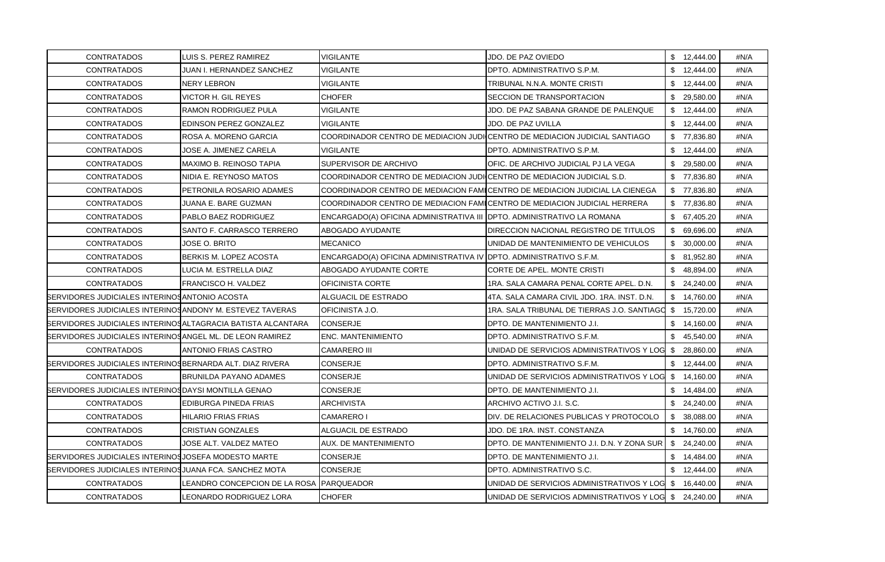| <b>CONTRATADOS</b>                                                 | LUIS S. PEREZ RAMIREZ                     | VIGILANTE                                                                | JDO. DE PAZ OVIEDO                                                          | \$12,444.00     | #N/A |
|--------------------------------------------------------------------|-------------------------------------------|--------------------------------------------------------------------------|-----------------------------------------------------------------------------|-----------------|------|
| <b>CONTRATADOS</b>                                                 | JUAN I. HERNANDEZ SANCHEZ                 | <b>VIGILANTE</b>                                                         | DPTO. ADMINISTRATIVO S.P.M.                                                 | \$12,444.00     | #N/A |
| <b>CONTRATADOS</b>                                                 | NERY LEBRON                               | VIGILANTE                                                                | TRIBUNAL N.N.A. MONTE CRISTI                                                | \$12,444.00     | #N/A |
| <b>CONTRATADOS</b>                                                 | VICTOR H. GIL REYES                       | <b>CHOFER</b>                                                            | SECCION DE TRANSPORTACION                                                   | \$29,580.00     | #N/A |
| <b>CONTRATADOS</b>                                                 | RAMON RODRIGUEZ PULA                      | VIGILANTE                                                                | JDO. DE PAZ SABANA GRANDE DE PALENQUE                                       | \$12,444.00     | #N/A |
| <b>CONTRATADOS</b>                                                 | EDINSON PEREZ GONZALEZ                    | VIGILANTE                                                                | JDO. DE PAZ UVILLA                                                          | \$12,444.00     | #N/A |
| <b>CONTRATADOS</b>                                                 | ROSA A. MORENO GARCIA                     |                                                                          | COORDINADOR CENTRO DE MEDIACION JUDICENTRO DE MEDIACION JUDICIAL SANTIAGO   | \$77,836.80     | #N/A |
| CONTRATADOS                                                        | JOSE A. JIMENEZ CARELA                    | <b>VIGILANTE</b>                                                         | IDPTO. ADMINISTRATIVO S.P.M.                                                | \$12,444.00     | #N/A |
| <b>CONTRATADOS</b>                                                 | MAXIMO B. REINOSO TAPIA                   | SUPERVISOR DE ARCHIVO                                                    | OFIC. DE ARCHIVO JUDICIAL PJ LA VEGA                                        | \$29,580.00     | #N/A |
| <b>CONTRATADOS</b>                                                 | NIDIA E. REYNOSO MATOS                    | COORDINADOR CENTRO DE MEDIACION JUDI CENTRO DE MEDIACION JUDICIAL S.D.   |                                                                             | \$77,836.80     | #N/A |
| <b>CONTRATADOS</b>                                                 | PETRONILA ROSARIO ADAMES                  |                                                                          | COORDINADOR CENTRO DE MEDIACION FAMICENTRO DE MEDIACION JUDICIAL LA CIENEGA | \$77,836.80     | #N/A |
| <b>CONTRATADOS</b>                                                 | JUANA E. BARE GUZMAN                      | COORDINADOR CENTRO DE MEDIACION FAMICENTRO DE MEDIACION JUDICIAL HERRERA |                                                                             | \$77,836.80     | #N/A |
| <b>CONTRATADOS</b>                                                 | PABLO BAEZ RODRIGUEZ                      | ENCARGADO(A) OFICINA ADMINISTRATIVA III OPTO. ADMINISTRATIVO LA ROMANA   |                                                                             | \$67,405.20     | #N/A |
| <b>CONTRATADOS</b>                                                 | SANTO F. CARRASCO TERRERO                 | ABOGADO AYUDANTE                                                         | IDIRECCION NACIONAL REGISTRO DE TITULOS                                     | \$ 69,696.00    | #N/A |
| <b>CONTRATADOS</b>                                                 | JOSE O. BRITO                             | <b>MECANICO</b>                                                          | UNIDAD DE MANTENIMIENTO DE VEHICULOS                                        | \$30,000.00     | #N/A |
| <b>CONTRATADOS</b>                                                 | BERKIS M. LOPEZ ACOSTA                    | ENCARGADO(A) OFICINA ADMINISTRATIVA IV  DPTO. ADMINISTRATIVO S.F.M.      |                                                                             | \$81,952.80     | #N/A |
| <b>CONTRATADOS</b>                                                 | LUCIA M. ESTRELLA DIAZ                    | ABOGADO AYUDANTE CORTE                                                   | CORTE DE APEL. MONTE CRISTI                                                 | \$48,894.00     | #N/A |
| <b>CONTRATADOS</b>                                                 | FRANCISCO H. VALDEZ                       | OFICINISTA CORTE                                                         | 1RA, SALA CAMARA PENAL CORTE APEL, D.N.                                     | \$24,240.00     | #N/A |
| SERVIDORES JUDICIALES INTERINOS ANTONIO ACOSTA                     |                                           | ALGUACIL DE ESTRADO                                                      | 4TA, SALA CAMARA CIVIL JDO, 1RA, INST, D.N.                                 | \$14,760.00     | #N/A |
| BERVIDORES JUDICIALES INTERINOSANDONY M. ESTEVEZ TAVERAS           |                                           | OFICINISTA J.O.                                                          | 1RA. SALA TRIBUNAL DE TIERRAS J.O. SANTIAGO                                 | \$15,720.00     | #N/A |
| <b>SERVIDORES JUDICIALES INTERINOSALTAGRACIA BATISTA ALCANTARA</b> |                                           | <b>CONSERJE</b>                                                          | DPTO. DE MANTENIMIENTO J.I.                                                 | \$14,160.00     | #N/A |
| BERVIDORES JUDICIALES INTERINOSANGEL ML. DE LEON RAMIREZ           |                                           | <b>ENC. MANTENIMIENTO</b>                                                | DPTO. ADMINISTRATIVO S.F.M.                                                 | \$45,540.00     | #N/A |
| <b>CONTRATADOS</b>                                                 | <b>ANTONIO FRIAS CASTRO</b>               | <b>CAMARERO III</b>                                                      | UNIDAD DE SERVICIOS ADMINISTRATIVOS Y LOG                                   | \$<br>28,860.00 | #N/A |
| SERVIDORES JUDICIALES INTERINOS BERNARDA ALT. DIAZ RIVERA          |                                           | CONSERJE                                                                 | DPTO. ADMINISTRATIVO S.F.M.                                                 | \$12,444.00     | #N/A |
| <b>CONTRATADOS</b>                                                 | <b>BRUNILDA PAYANO ADAMES</b>             | CONSERJE                                                                 | UNIDAD DE SERVICIOS ADMINISTRATIVOS Y LOG                                   | \$14,160.00     | #N/A |
| SERVIDORES JUDICIALES INTERINOSDAYSI MONTILLA GENAO                |                                           | CONSERJE                                                                 | DPTO. DE MANTENIMIENTO J.I.                                                 | \$14,484.00     | #N/A |
| <b>CONTRATADOS</b>                                                 | EDIBURGA PINEDA FRIAS                     | ARCHIVISTA                                                               | ARCHIVO ACTIVO J.I. S.C.                                                    | \$24,240.00     | #N/A |
| <b>CONTRATADOS</b>                                                 | HILARIO FRIAS FRIAS                       | <b>CAMARERO I</b>                                                        | DIV. DE RELACIONES PUBLICAS Y PROTOCOLO                                     | \$38,088.00     | #N/A |
| <b>CONTRATADOS</b>                                                 | CRISTIAN GONZALES                         | ALGUACIL DE ESTRADO                                                      | JDO. DE 1RA. INST. CONSTANZA                                                | \$14,760.00     | #N/A |
| <b>CONTRATADOS</b>                                                 | JOSE ALT. VALDEZ MATEO                    | AUX. DE MANTENIMIENTO                                                    | DPTO. DE MANTENIMIENTO J.I. D.N. Y ZONA SUR                                 | \$24,240.00     | #N/A |
| BERVIDORES JUDICIALES INTERINOSJOSEFA MODESTO MARTE                |                                           | CONSERJE                                                                 | DPTO. DE MANTENIMIENTO J.I.                                                 | \$14,484.00     | #N/A |
| <b>SERVIDORES JUDICIALES INTERINOS JUANA FCA. SANCHEZ MOTA</b>     |                                           | <b>CONSERJE</b>                                                          | DPTO. ADMINISTRATIVO S.C.                                                   | \$12,444.00     | #N/A |
| <b>CONTRATADOS</b>                                                 | LEANDRO CONCEPCION DE LA ROSA  PARQUEADOR |                                                                          | UNIDAD DE SERVICIOS ADMINISTRATIVOS Y LOG \$ 16,440.00                      |                 | #N/A |
| <b>CONTRATADOS</b>                                                 | LEONARDO RODRIGUEZ LORA                   | <b>CHOFER</b>                                                            | UNIDAD DE SERVICIOS ADMINISTRATIVOS Y LOG \$ 24,240.00                      |                 | #N/A |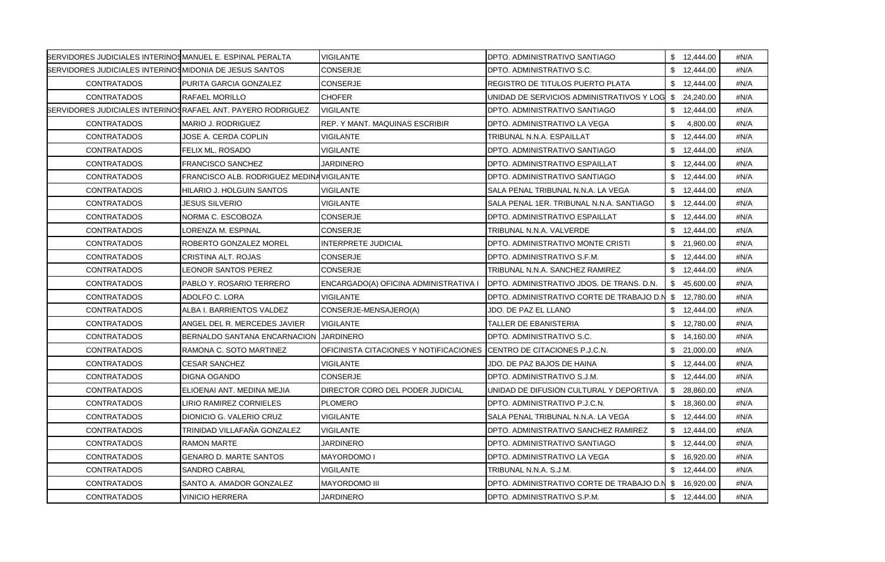| <b>SERVIDORES JUDICIALES INTERINOSMANUEL E. ESPINAL PERALTA</b> |                                          | <b>VIGILANTE</b>                                                       | DPTO, ADMINISTRATIVO SANTIAGO              | \$12,444.00    | #N/A |
|-----------------------------------------------------------------|------------------------------------------|------------------------------------------------------------------------|--------------------------------------------|----------------|------|
| <b>BERVIDORES JUDICIALES INTERINOSMIDONIA DE JESUS SANTOS</b>   |                                          | CONSERJE                                                               | DPTO. ADMINISTRATIVO S.C.                  | \$12,444.00    | #N/A |
| <b>CONTRATADOS</b>                                              | PURITA GARCIA GONZALEZ                   | <b>CONSERJE</b>                                                        | <b>REGISTRO DE TITULOS PUERTO PLATA</b>    | \$12,444.00    | #N/A |
| <b>CONTRATADOS</b>                                              | RAFAEL MORILLO                           | <b>CHOFER</b>                                                          | UNIDAD DE SERVICIOS ADMINISTRATIVOS Y LOG  | \$24,240.00    | #N/A |
| BERVIDORES JUDICIALES INTERINOS RAFAEL ANT. PAYERO RODRIGUEZ    |                                          | <b>VIGILANTE</b>                                                       | IDPTO. ADMINISTRATIVO SANTIAGO             | \$12,444.00    | #N/A |
| <b>CONTRATADOS</b>                                              | MARIO J. RODRIGUEZ                       | REP. Y MANT. MAQUINAS ESCRIBIR                                         | DPTO. ADMINISTRATIVO LA VEGA               | \$<br>4,800.00 | #N/A |
| <b>CONTRATADOS</b>                                              | JOSE A. CERDA COPLIN                     | VIGILANTE                                                              | TRIBUNAL N.N.A. ESPAILLAT                  | \$12,444.00    | #N/A |
| CONTRATADOS                                                     | FELIX ML. ROSADO                         | <b>VIGILANTE</b>                                                       | DPTO, ADMINISTRATIVO SANTIAGO              | \$12,444.00    | #N/A |
| <b>CONTRATADOS</b>                                              | <b>FRANCISCO SANCHEZ</b>                 | JARDINERO                                                              | DPTO. ADMINISTRATIVO ESPAILLAT             | \$12,444.00    | #N/A |
| <b>CONTRATADOS</b>                                              | FRANCISCO ALB. RODRIGUEZ MEDINAVIGILANTE |                                                                        | DPTO. ADMINISTRATIVO SANTIAGO              | \$12,444.00    | #N/A |
| <b>CONTRATADOS</b>                                              | HILARIO J. HOLGUIN SANTOS                | VIGILANTE                                                              | SALA PENAL TRIBUNAL N.N.A. LA VEGA         | \$12,444.00    | #N/A |
| <b>CONTRATADOS</b>                                              | JESUS SILVERIO                           | VIGILANTE                                                              | SALA PENAL 1ER. TRIBUNAL N.N.A. SANTIAGO   | \$12,444.00    | #N/A |
| <b>CONTRATADOS</b>                                              | NORMA C. ESCOBOZA                        | <b>CONSERJE</b>                                                        | DPTO. ADMINISTRATIVO ESPAILLAT             | \$12,444.00    | #N/A |
| <b>CONTRATADOS</b>                                              | LORENZA M. ESPINAL                       | CONSERJE                                                               | TRIBUNAL N.N.A. VALVERDE                   | \$12,444.00    | #N/A |
| <b>CONTRATADOS</b>                                              | ROBERTO GONZALEZ MOREL                   | <b>INTERPRETE JUDICIAL</b>                                             | DPTO. ADMINISTRATIVO MONTE CRISTI          | \$21,960.00    | #N/A |
| <b>CONTRATADOS</b>                                              | CRISTINA ALT. ROJAS                      | CONSERJE                                                               | DPTO. ADMINISTRATIVO S.F.M.                | \$12,444.00    | #N/A |
| <b>CONTRATADOS</b>                                              | LEONOR SANTOS PEREZ                      | CONSERJE                                                               | TRIBUNAL N.N.A. SANCHEZ RAMIREZ            | \$12,444.00    | #N/A |
| <b>CONTRATADOS</b>                                              | PABLO Y. ROSARIO TERRERO                 | ENCARGADO(A) OFICINA ADMINISTRATIVA I                                  | IDPTO. ADMINISTRATIVO JDOS. DE TRANS. D.N. | \$45,600.00    | #N/A |
| <b>CONTRATADOS</b>                                              | ADOLFO C. LORA                           | VIGILANTE                                                              | DPTO. ADMINISTRATIVO CORTE DE TRABAJO D.N  | \$12,780.00    | #N/A |
| <b>CONTRATADOS</b>                                              | ALBA I. BARRIENTOS VALDEZ                | CONSERJE-MENSAJERO(A)                                                  | JDO. DE PAZ EL LLANO                       | \$12,444.00    | #N/A |
| <b>CONTRATADOS</b>                                              | ANGEL DEL R. MERCEDES JAVIER             | VIGILANTE                                                              | TALLER DE EBANISTERIA                      | \$12,780.00    | #N/A |
| <b>CONTRATADOS</b>                                              | BERNALDO SANTANA ENCARNACION             | <b>JARDINERO</b>                                                       | DPTO. ADMINISTRATIVO S.C.                  | \$14,160.00    | #N/A |
| <b>CONTRATADOS</b>                                              | RAMONA C. SOTO MARTINEZ                  | OFICINISTA CITACIONES Y NOTIFICACIONES   CENTRO DE CITACIONES P.J.C.N. |                                            | \$21,000.00    | #N/A |
| <b>CONTRATADOS</b>                                              | <b>CESAR SANCHEZ</b>                     | VIGILANTE                                                              | JDO. DE PAZ BAJOS DE HAINA                 | \$12,444.00    | #N/A |
| <b>CONTRATADOS</b>                                              | DIGNA OGANDO                             | CONSERJE                                                               | DPTO. ADMINISTRATIVO S.J.M.                | \$12,444.00    | #N/A |
| <b>CONTRATADOS</b>                                              | ELIOENAI ANT. MEDINA MEJIA               | DIRECTOR CORO DEL PODER JUDICIAL                                       | UNIDAD DE DIFUSION CULTURAL Y DEPORTIVA    | \$ 28,860.00   | #N/A |
| <b>CONTRATADOS</b>                                              | LIRIO RAMIREZ CORNIELES                  | PLOMERO                                                                | DPTO. ADMINISTRATIVO P.J.C.N.              | \$18,360.00    | #N/A |
| <b>CONTRATADOS</b>                                              | DIONICIO G. VALERIO CRUZ                 | <b>VIGILANTE</b>                                                       | SALA PENAL TRIBUNAL N.N.A. LA VEGA         | \$12,444.00    | #N/A |
| <b>CONTRATADOS</b>                                              | TRINIDAD VILLAFAÑA GONZALEZ              | <b>VIGILANTE</b>                                                       | DPTO. ADMINISTRATIVO SANCHEZ RAMIREZ       | \$12,444.00    | #N/A |
| <b>CONTRATADOS</b>                                              | <b>RAMON MARTE</b>                       | <b>JARDINERO</b>                                                       | DPTO. ADMINISTRATIVO SANTIAGO              | \$12,444.00    | #N/A |
| <b>CONTRATADOS</b>                                              | GENARO D. MARTE SANTOS                   | MAYORDOMO I                                                            | DPTO. ADMINISTRATIVO LA VEGA               | \$16,920.00    | #N/A |
| <b>CONTRATADOS</b>                                              | <b>SANDRO CABRAL</b>                     | VIGILANTE                                                              | TRIBUNAL N.N.A. S.J.M.                     | \$12,444.00    | #N/A |
| <b>CONTRATADOS</b>                                              | SANTO A. AMADOR GONZALEZ                 | MAYORDOMO III                                                          | DPTO. ADMINISTRATIVO CORTE DE TRABAJO D.N  | \$16,920.00    | #N/A |
| <b>CONTRATADOS</b>                                              | <b>VINICIO HERRERA</b>                   | <b>JARDINERO</b>                                                       | DPTO. ADMINISTRATIVO S.P.M.                | \$12,444.00    | #N/A |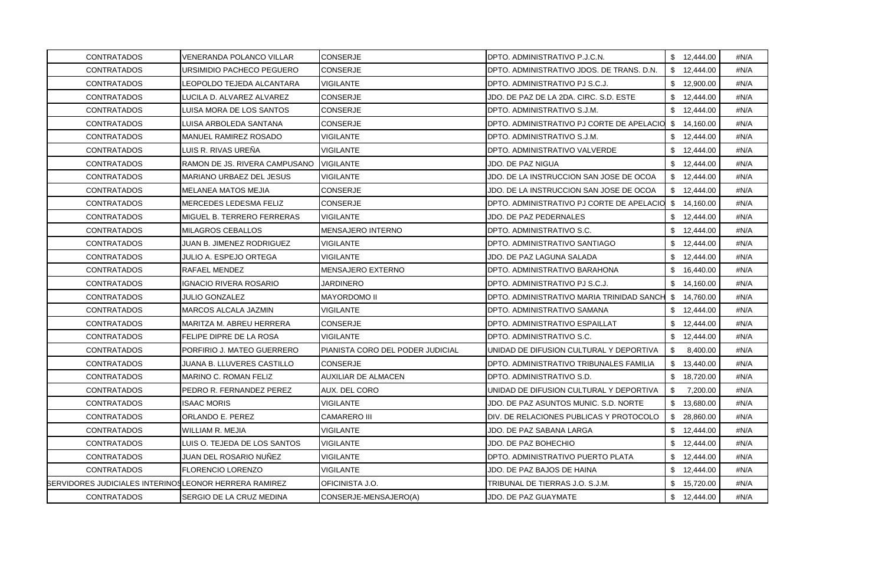| <b>CONTRATADOS</b>                                           | VENERANDA POLANCO VILLAR      | <b>CONSERJE</b>                  | DPTO. ADMINISTRATIVO P.J.C.N.             | \$12,444.00    | #N/A |
|--------------------------------------------------------------|-------------------------------|----------------------------------|-------------------------------------------|----------------|------|
| <b>CONTRATADOS</b>                                           | URSIMIDIO PACHECO PEGUERO     | <b>CONSERJE</b>                  | DPTO. ADMINISTRATIVO JDOS. DE TRANS. D.N. | \$12,444.00    | #N/A |
| <b>CONTRATADOS</b>                                           | LEOPOLDO TEJEDA ALCANTARA     | <b>VIGILANTE</b>                 | DPTO. ADMINISTRATIVO PJ S.C.J.            | \$12,900.00    | #N/A |
| <b>CONTRATADOS</b>                                           | LUCILA D. ALVAREZ ALVAREZ     | <b>CONSERJE</b>                  | JDO. DE PAZ DE LA 2DA. CIRC. S.D. ESTE    | \$12,444.00    | #N/A |
| <b>CONTRATADOS</b>                                           | LUISA MORA DE LOS SANTOS      | <b>CONSERJE</b>                  | DPTO. ADMINISTRATIVO S.J.M.               | \$12,444.00    | #N/A |
| <b>CONTRATADOS</b>                                           | LUISA ARBOLEDA SANTANA        | <b>CONSERJE</b>                  | DPTO. ADMINISTRATIVO PJ CORTE DE APELACIO | \$14,160.00    | #N/A |
| <b>CONTRATADOS</b>                                           | MANUEL RAMIREZ ROSADO         | VIGILANTE                        | DPTO. ADMINISTRATIVO S.J.M.               | \$12,444.00    | #N/A |
| <b>CONTRATADOS</b>                                           | LUIS R. RIVAS UREÑA           | VIGILANTE                        | DPTO. ADMINISTRATIVO VALVERDE             | \$12,444.00    | #N/A |
| <b>CONTRATADOS</b>                                           | RAMON DE JS. RIVERA CAMPUSANO | <b>VIGILANTE</b>                 | JDO. DE PAZ NIGUA                         | \$12,444.00    | #N/A |
| <b>CONTRATADOS</b>                                           | MARIANO URBAEZ DEL JESUS      | VIGILANTE                        | JDO. DE LA INSTRUCCION SAN JOSE DE OCOA   | \$12,444.00    | #N/A |
| <b>CONTRATADOS</b>                                           | MELANEA MATOS MEJIA           | CONSERJE                         | JDO. DE LA INSTRUCCION SAN JOSE DE OCOA   | \$12,444.00    | #N/A |
| <b>CONTRATADOS</b>                                           | MERCEDES LEDESMA FELIZ        | <b>CONSERJE</b>                  | DPTO. ADMINISTRATIVO PJ CORTE DE APELACIO | \$14,160.00    | #N/A |
| <b>CONTRATADOS</b>                                           | MIGUEL B. TERRERO FERRERAS    | <b>VIGILANTE</b>                 | JDO. DE PAZ PEDERNALES                    | \$12,444.00    | #N/A |
| <b>CONTRATADOS</b>                                           | MILAGROS CEBALLOS             | MENSAJERO INTERNO                | DPTO. ADMINISTRATIVO S.C.                 | \$12,444.00    | #N/A |
| <b>CONTRATADOS</b>                                           | JUAN B. JIMENEZ RODRIGUEZ     | VIGILANTE                        | DPTO, ADMINISTRATIVO SANTIAGO             | \$12,444.00    | #N/A |
| <b>CONTRATADOS</b>                                           | JULIO A. ESPEJO ORTEGA        | VIGILANTE                        | JDO. DE PAZ LAGUNA SALADA                 | \$12,444.00    | #N/A |
| <b>CONTRATADOS</b>                                           | <b>RAFAEL MENDEZ</b>          | MENSAJERO EXTERNO                | DPTO. ADMINISTRATIVO BARAHONA             | \$16,440.00    | #N/A |
| <b>CONTRATADOS</b>                                           | <b>IGNACIO RIVERA ROSARIO</b> | <b>JARDINERO</b>                 | DPTO. ADMINISTRATIVO PJ S.C.J.            | \$14,160.00    | #N/A |
| <b>CONTRATADOS</b>                                           | <b>JULIO GONZALEZ</b>         | <b>MAYORDOMO II</b>              | DPTO. ADMINISTRATIVO MARIA TRINIDAD SANCH | \$ 14,760.00   | #N/A |
| <b>CONTRATADOS</b>                                           | MARCOS ALCALA JAZMIN          | VIGILANTE                        | DPTO. ADMINISTRATIVO SAMANA               | \$12,444.00    | #N/A |
| <b>CONTRATADOS</b>                                           | MARITZA M. ABREU HERRERA      | <b>CONSERJE</b>                  | DPTO. ADMINISTRATIVO ESPAILLAT            | \$12,444.00    | #N/A |
| <b>CONTRATADOS</b>                                           | FELIPE DIPRE DE LA ROSA       | <b>VIGILANTE</b>                 | DPTO. ADMINISTRATIVO S.C.                 | \$12,444.00    | #N/A |
| <b>CONTRATADOS</b>                                           | PORFIRIO J. MATEO GUERRERO    | PIANISTA CORO DEL PODER JUDICIAL | UNIDAD DE DIFUSION CULTURAL Y DEPORTIVA   | -S<br>8,400.00 | #N/A |
| <b>CONTRATADOS</b>                                           | JUANA B. LLUVERES CASTILLO    | <b>CONSERJE</b>                  | DPTO. ADMINISTRATIVO TRIBUNALES FAMILIA   | \$13,440.00    | #N/A |
| <b>CONTRATADOS</b>                                           | MARINO C. ROMAN FELIZ         | AUXILIAR DE ALMACEN              | DPTO. ADMINISTRATIVO S.D.                 | \$18,720.00    | #N/A |
| <b>CONTRATADOS</b>                                           | PEDRO R. FERNANDEZ PEREZ      | AUX. DEL CORO                    | UNIDAD DE DIFUSION CULTURAL Y DEPORTIVA   | \$<br>7,200.00 | #N/A |
| <b>CONTRATADOS</b>                                           | <b>ISAAC MORIS</b>            | <b>VIGILANTE</b>                 | JDO. DE PAZ ASUNTOS MUNIC. S.D. NORTE     | \$13,680.00    | #N/A |
| <b>CONTRATADOS</b>                                           | ORLANDO E. PEREZ              | <b>CAMARERO III</b>              | DIV. DE RELACIONES PUBLICAS Y PROTOCOLO   | \$28,860.00    | #N/A |
| <b>CONTRATADOS</b>                                           | WILLIAM R. MEJIA              | <b>VIGILANTE</b>                 | JDO. DE PAZ SABANA LARGA                  | \$12,444.00    | #N/A |
| <b>CONTRATADOS</b>                                           | LUIS O. TEJEDA DE LOS SANTOS  | VIGILANTE                        | JDO. DE PAZ BOHECHIO                      | \$12,444.00    | #N/A |
| <b>CONTRATADOS</b>                                           | JUAN DEL ROSARIO NUÑEZ        | VIGILANTE                        | DPTO. ADMINISTRATIVO PUERTO PLATA         | \$12,444.00    | #N/A |
| <b>CONTRATADOS</b>                                           | <b>FLORENCIO LORENZO</b>      | <b>VIGILANTE</b>                 | JDO. DE PAZ BAJOS DE HAINA                | \$12,444.00    | #N/A |
| <b>SERVIDORES JUDICIALES INTERINOSLEONOR HERRERA RAMIREZ</b> |                               | OFICINISTA J.O.                  | TRIBUNAL DE TIERRAS J.O. S.J.M.           | \$15,720.00    | #N/A |
| <b>CONTRATADOS</b>                                           | SERGIO DE LA CRUZ MEDINA      | CONSERJE-MENSAJERO(A)            | JDO. DE PAZ GUAYMATE                      | \$12,444.00    | #N/A |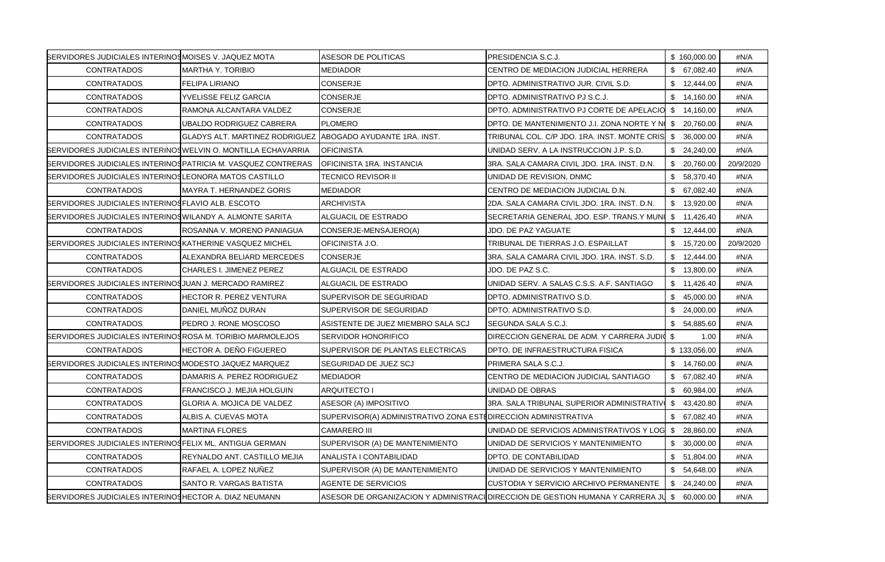| SERVIDORES JUDICIALES INTERINOSMOISES V. JAQUEZ MOTA                 |                                                                      | <b>ASESOR DE POLITICAS</b>                                      | PRESIDENCIA S.C.J.                                                                         |      | \$160,000.00 | #N/A      |
|----------------------------------------------------------------------|----------------------------------------------------------------------|-----------------------------------------------------------------|--------------------------------------------------------------------------------------------|------|--------------|-----------|
| <b>CONTRATADOS</b>                                                   | <b>MARTHA Y. TORIBIO</b>                                             | MEDIADOR                                                        | CENTRO DE MEDIACION JUDICIAL HERRERA                                                       |      | \$ 67,082.40 | #N/A      |
| <b>CONTRATADOS</b>                                                   | FELIPA LIRIANO                                                       | CONSERJE                                                        | DPTO. ADMINISTRATIVO JUR. CIVIL S.D.                                                       |      | \$12,444.00  | #N/A      |
| <b>CONTRATADOS</b>                                                   | YVELISSE FELIZ GARCIA                                                | CONSERJE                                                        | DPTO. ADMINISTRATIVO PJ S.C.J.                                                             |      | \$14,160.00  | #N/A      |
| <b>CONTRATADOS</b>                                                   | RAMONA ALCANTARA VALDEZ                                              | CONSERJE                                                        | DPTO. ADMINISTRATIVO PJ CORTE DE APELACIO \$ 14.160.00                                     |      |              | #N/A      |
| <b>CONTRATADOS</b>                                                   | UBALDO RODRIGUEZ CABRERA                                             | <b>PLOMERO</b>                                                  | DPTO. DE MANTENIMIENTO J.I. ZONA NORTE Y N \$ 20,760.00                                    |      |              | #N/A      |
| <b>CONTRATADOS</b>                                                   | GLADYS ALT. MARTINEZ RODRIGUEZ IABOGADO AYUDANTE 1RA. INST.          |                                                                 | TRIBUNAL COL. C/P JDO. 1RA. INST. MONTE CRIS                                               |      | \$36,000.00  | #N/A      |
| <b>SERVIDORES JUDICIALES INTERINOS WELVIN O. MONTILLA ECHAVARRIA</b> |                                                                      | <b>OFICINISTA</b>                                               | UNIDAD SERV. A LA INSTRUCCION J.P. S.D.                                                    |      | \$24,240.00  | #N/A      |
|                                                                      | <b>SERVIDORES JUDICIALES INTERINOS PATRICIA M. VASQUEZ CONTRERAS</b> | IOFICINISTA 1RA. INSTANCIA                                      | 3RA. SALA CAMARA CIVIL JDO. 1RA. INST. D.N.                                                |      | \$20,760.00  | 20/9/2020 |
| <b>SERVIDORES JUDICIALES INTERINOSLEONORA MATOS CASTILLO</b>         |                                                                      | TECNICO REVISOR II                                              | UNIDAD DE REVISION, DNMC                                                                   |      | \$ 58,370.40 | #N/A      |
| <b>CONTRATADOS</b>                                                   | MAYRA T. HERNANDEZ GORIS                                             | MEDIADOR                                                        | CENTRO DE MEDIACION JUDICIAL D.N.                                                          |      | \$ 67,082.40 | #N/A      |
| SERVIDORES JUDICIALES INTERINOS FLAVIO ALB. ESCOTO                   |                                                                      | <b>ARCHIVISTA</b>                                               | 2DA. SALA CAMARA CIVIL JDO. 1RA. INST. D.N.                                                |      | \$13,920.00  | #N/A      |
| <b>SERVIDORES JUDICIALES INTERINOS WILANDY A. ALMONTE SARITA</b>     |                                                                      | ALGUACIL DE ESTRADO                                             | SECRETARIA GENERAL JDO. ESP. TRANS.Y MUNI                                                  |      | \$11,426.40  | #N/A      |
| <b>CONTRATADOS</b>                                                   | ROSANNA V. MORENO PANIAGUA                                           | CONSERJE-MENSAJERO(A)                                           | JDO. DE PAZ YAGUATE                                                                        |      | \$12,444.00  | #N/A      |
| SERVIDORES JUDICIALES INTERINOS KATHERINE VASQUEZ MICHEL             |                                                                      | OFICINISTA J.O.                                                 | TRIBUNAL DE TIERRAS J.O. ESPAILLAT                                                         |      | \$15,720.00  | 20/9/2020 |
| <b>CONTRATADOS</b>                                                   | ALEXANDRA BELIARD MERCEDES                                           | <b>CONSERJE</b>                                                 | 3RA, SALA CAMARA CIVIL JDO, 1RA, INST, S.D.                                                |      | \$12,444.00  | #N/A      |
| <b>CONTRATADOS</b>                                                   | CHARLES I. JIMENEZ PEREZ                                             | ALGUACIL DE ESTRADO                                             | JDO. DE PAZ S.C.                                                                           |      | \$13,800.00  | #N/A      |
| SERVIDORES JUDICIALES INTERINOS JUAN J. MERCADO RAMIREZ              |                                                                      | ALGUACIL DE ESTRADO                                             | UNIDAD SERV. A SALAS C.S.S. A.F. SANTIAGO                                                  |      | \$11,426.40  | #N/A      |
| <b>CONTRATADOS</b>                                                   | HECTOR R. PEREZ VENTURA                                              | SUPERVISOR DE SEGURIDAD                                         | DPTO. ADMINISTRATIVO S.D.                                                                  |      | \$45,000.00  | #N/A      |
| <b>CONTRATADOS</b>                                                   | DANIEL MUÑOZ DURAN                                                   | SUPERVISOR DE SEGURIDAD                                         | DPTO. ADMINISTRATIVO S.D.                                                                  |      | \$24,000.00  | #N/A      |
| <b>CONTRATADOS</b>                                                   | PEDRO J. RONE MOSCOSO                                                | ASISTENTE DE JUEZ MIEMBRO SALA SCJ                              | SEGUNDA SALA S.C.J.                                                                        |      | \$ 54,885.60 | #N/A      |
| BERVIDORES JUDICIALES INTERINOSROSA M. TORIBIO MARMOLEJOS            |                                                                      | <b>SERVIDOR HONORIFICO</b>                                      | DIRECCION GENERAL DE ADM. Y CARRERA JUDIO                                                  | - \$ | 1.00         | #N/A      |
| <b>CONTRATADOS</b>                                                   | HECTOR A. DEÑO FIGUEREO                                              | SUPERVISOR DE PLANTAS ELECTRICAS                                | DPTO. DE INFRAESTRUCTURA FISICA                                                            |      | \$133,056.00 | #N/A      |
| <b>SERVIDORES JUDICIALES INTERINOSMODESTO JAQUEZ MARQUEZ</b>         |                                                                      | SEGURIDAD DE JUEZ SCJ                                           | PRIMERA SALA S.C.J.                                                                        |      | \$ 14,760.00 | #N/A      |
| <b>CONTRATADOS</b>                                                   | DAMARIS A. PEREZ RODRIGUEZ                                           | MEDIADOR                                                        | CENTRO DE MEDIACION JUDICIAL SANTIAGO                                                      |      | \$67,082.40  | #N/A      |
| <b>CONTRATADOS</b>                                                   | FRANCISCO J. MEJIA HOLGUIN                                           | ARQUITECTO I                                                    | UNIDAD DE OBRAS                                                                            |      | \$60,984.00  | #N/A      |
| <b>CONTRATADOS</b>                                                   | GLORIA A. MOJICA DE VALDEZ                                           | ASESOR (A) IMPOSITIVO                                           | 3RA. SALA TRIBUNAL SUPERIOR ADMINISTRATIV                                                  |      | \$43,420.80  | #N/A      |
| <b>CONTRATADOS</b>                                                   | ALBIS A. CUEVAS MOTA                                                 | SUPERVISOR(A) ADMINISTRATIVO ZONA ESTI DIRECCION ADMINISTRATIVA |                                                                                            |      | \$67,082.40  | #N/A      |
| <b>CONTRATADOS</b>                                                   | <b>MARTINA FLORES</b>                                                | <b>CAMARERO III</b>                                             | UNIDAD DE SERVICIOS ADMINISTRATIVOS Y LOG                                                  | \$   | 28,860.00    | #N/A      |
| <b>SERVIDORES JUDICIALES INTERINOSFELIX ML. ANTIGUA GERMAN</b>       |                                                                      | SUPERVISOR (A) DE MANTENIMIENTO                                 | UNIDAD DE SERVICIOS Y MANTENIMIENTO                                                        |      | \$30,000.00  | #N/A      |
| <b>CONTRATADOS</b>                                                   | REYNALDO ANT. CASTILLO MEJIA                                         | ANALISTA I CONTABILIDAD                                         | DPTO. DE CONTABILIDAD                                                                      |      | \$51,804.00  | #N/A      |
| <b>CONTRATADOS</b>                                                   | RAFAEL A. LOPEZ NUÑEZ                                                | SUPERVISOR (A) DE MANTENIMIENTO                                 | UNIDAD DE SERVICIOS Y MANTENIMIENTO                                                        |      | \$54,648.00  | #N/A      |
| <b>CONTRATADOS</b>                                                   | <b>SANTO R. VARGAS BATISTA</b>                                       | <b>AGENTE DE SERVICIOS</b>                                      | CUSTODIA Y SERVICIO ARCHIVO PERMANENTE                                                     |      | \$24,240.00  | #N/A      |
| SERVIDORES JUDICIALES INTERINOSHECTOR A. DIAZ NEUMANN                |                                                                      |                                                                 | ASESOR DE ORGANIZACION Y ADMINISTRACI∐DIRECCION DE GESTION HUMANA Y CARRERA JU \$60,000.00 |      |              | #N/A      |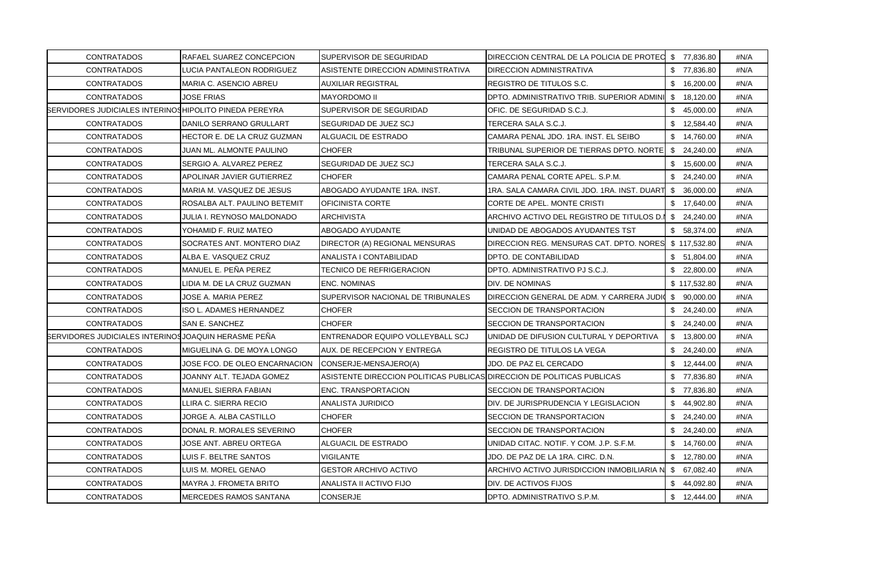| <b>CONTRATADOS</b>                                            | RAFAEL SUAREZ CONCEPCION      | SUPERVISOR DE SEGURIDAD                                                | DIRECCION CENTRAL DE LA POLICIA DE PROTEC \$77,836.80  |              | #N/A |
|---------------------------------------------------------------|-------------------------------|------------------------------------------------------------------------|--------------------------------------------------------|--------------|------|
| <b>CONTRATADOS</b>                                            | LUCIA PANTALEON RODRIGUEZ     | ASISTENTE DIRECCION ADMINISTRATIVA                                     | DIRECCION ADMINISTRATIVA                               | \$77,836.80  | #N/A |
| <b>CONTRATADOS</b>                                            | MARIA C. ASENCIO ABREU        | <b>AUXILIAR REGISTRAL</b>                                              | REGISTRO DE TITULOS S.C.                               | \$16,200.00  | #N/A |
| <b>CONTRATADOS</b>                                            | JOSE FRIAS                    | <b>MAYORDOMO II</b>                                                    | DPTO. ADMINISTRATIVO TRIB. SUPERIOR ADMINI             | \$18,120.00  | #N/A |
| <b>SERVIDORES JUDICIALES INTERINOSHIPOLITO PINEDA PEREYRA</b> |                               | SUPERVISOR DE SEGURIDAD                                                | OFIC. DE SEGURIDAD S.C.J.                              | \$45,000.00  | #N/A |
| <b>CONTRATADOS</b>                                            | DANILO SERRANO GRULLART       | SEGURIDAD DE JUEZ SCJ                                                  | TERCERA SALA S.C.J.                                    | \$12,584.40  | #N/A |
| <b>CONTRATADOS</b>                                            | HECTOR E. DE LA CRUZ GUZMAN   | ALGUACIL DE ESTRADO                                                    | CAMARA PENAL JDO. 1RA. INST. EL SEIBO                  | \$14,760.00  | #N/A |
| <b>CONTRATADOS</b>                                            | JUAN ML. ALMONTE PAULINO      | <b>CHOFER</b>                                                          | TRIBUNAL SUPERIOR DE TIERRAS DPTO. NORTE   \$24,240.00 |              | #N/A |
| <b>CONTRATADOS</b>                                            | SERGIO A. ALVAREZ PEREZ       | SEGURIDAD DE JUEZ SCJ                                                  | TERCERA SALA S.C.J.                                    | \$15,600.00  | #N/A |
| <b>CONTRATADOS</b>                                            | APOLINAR JAVIER GUTIERREZ     | <b>CHOFER</b>                                                          | CAMARA PENAL CORTE APEL. S.P.M.                        | \$24,240.00  | #N/A |
| <b>CONTRATADOS</b>                                            | MARIA M. VASQUEZ DE JESUS     | ABOGADO AYUDANTE 1RA. INST.                                            | 1RA. SALA CAMARA CIVIL JDO. 1RA. INST. DUART           | \$36,000.00  | #N/A |
| <b>CONTRATADOS</b>                                            | ROSALBA ALT. PAULINO BETEMIT  | <b>OFICINISTA CORTE</b>                                                | CORTE DE APEL. MONTE CRISTI                            | \$17,640.00  | #N/A |
| <b>CONTRATADOS</b>                                            | JULIA I. REYNOSO MALDONADO    | <b>ARCHIVISTA</b>                                                      | ARCHIVO ACTIVO DEL REGISTRO DE TITULOS D.I             | \$24,240.00  | #N/A |
| <b>CONTRATADOS</b>                                            | YOHAMID F. RUIZ MATEO         | ABOGADO AYUDANTE                                                       | UNIDAD DE ABOGADOS AYUDANTES TST                       | \$58,374.00  | #N/A |
| <b>CONTRATADOS</b>                                            | SOCRATES ANT. MONTERO DIAZ    | DIRECTOR (A) REGIONAL MENSURAS                                         | DIRECCION REG. MENSURAS CAT. DPTO. NORES               | \$117,532.80 | #N/A |
| <b>CONTRATADOS</b>                                            | ALBA E. VASQUEZ CRUZ          | ANALISTA I CONTABILIDAD                                                | DPTO. DE CONTABILIDAD                                  | \$51,804.00  | #N/A |
| <b>CONTRATADOS</b>                                            | MANUEL E. PEÑA PEREZ          | <b>TECNICO DE REFRIGERACION</b>                                        | DPTO. ADMINISTRATIVO PJ S.C.J.                         | \$22,800.00  | #N/A |
| <b>CONTRATADOS</b>                                            | LIDIA M. DE LA CRUZ GUZMAN    | <b>ENC. NOMINAS</b>                                                    | DIV. DE NOMINAS                                        | \$117,532.80 | #N/A |
| <b>CONTRATADOS</b>                                            | JOSE A. MARIA PEREZ           | SUPERVISOR NACIONAL DE TRIBUNALES                                      | DIRECCION GENERAL DE ADM. Y CARRERA JUDIO              | \$ 90,000.00 | #N/A |
| <b>CONTRATADOS</b>                                            | ISO L. ADAMES HERNANDEZ       | <b>CHOFER</b>                                                          | SECCION DE TRANSPORTACION                              | \$24,240.00  | #N/A |
| <b>CONTRATADOS</b>                                            | SAN E. SANCHEZ                | <b>CHOFER</b>                                                          | SECCION DE TRANSPORTACION                              | \$24,240.00  | #N/A |
| SERVIDORES JUDICIALES INTERINOS JOAQUIN HERASME PEÑA          |                               | ENTRENADOR EQUIPO VOLLEYBALL SCJ                                       | UNIDAD DE DIFUSION CULTURAL Y DEPORTIVA                | \$13,800.00  | #N/A |
| <b>CONTRATADOS</b>                                            | MIGUELINA G. DE MOYA LONGO    | AUX. DE RECEPCION Y ENTREGA                                            | REGISTRO DE TITULOS LA VEGA                            | \$24,240.00  | #N/A |
| <b>CONTRATADOS</b>                                            | JOSE FCO. DE OLEO ENCARNACION | CONSERJE-MENSAJERO(A)                                                  | JDO. DE PAZ EL CERCADO                                 | \$12,444.00  | #N/A |
| <b>CONTRATADOS</b>                                            | JOANNY ALT. TEJADA GOMEZ      | ASISTENTE DIRECCION POLITICAS PUBLICAS DIRECCION DE POLITICAS PUBLICAS |                                                        | \$77,836.80  | #N/A |
| <b>CONTRATADOS</b>                                            | MANUEL SIERRA FABIAN          | <b>ENC. TRANSPORTACION</b>                                             | SECCION DE TRANSPORTACION                              | \$77,836.80  | #N/A |
| <b>CONTRATADOS</b>                                            | LLIRA C. SIERRA RECIO         | ANALISTA JURIDICO                                                      | DIV. DE JURISPRUDENCIA Y LEGISLACION                   | \$44,902.80  | #N/A |
| <b>CONTRATADOS</b>                                            | JORGE A. ALBA CASTILLO        | <b>CHOFER</b>                                                          | SECCION DE TRANSPORTACION                              | \$24,240.00  | #N/A |
| <b>CONTRATADOS</b>                                            | DONAL R. MORALES SEVERINO     | <b>CHOFER</b>                                                          | SECCION DE TRANSPORTACION                              | \$24,240.00  | #N/A |
| <b>CONTRATADOS</b>                                            | JOSE ANT. ABREU ORTEGA        | ALGUACIL DE ESTRADO                                                    | UNIDAD CITAC. NOTIF. Y COM. J.P. S.F.M.                | \$14,760.00  | #N/A |
| <b>CONTRATADOS</b>                                            | LUIS F. BELTRE SANTOS         | VIGILANTE                                                              | JDO. DE PAZ DE LA 1RA. CIRC. D.N.                      | \$12,780.00  | #N/A |
| <b>CONTRATADOS</b>                                            | LUIS M. MOREL GENAO           | <b>GESTOR ARCHIVO ACTIVO</b>                                           | ARCHIVO ACTIVO JURISDICCION INMOBILIARIA N             | \$ 67,082.40 | #N/A |
| <b>CONTRATADOS</b>                                            | MAYRA J. FROMETA BRITO        | ANALISTA II ACTIVO FIJO                                                | DIV. DE ACTIVOS FIJOS                                  | \$44,092.80  | #N/A |
| <b>CONTRATADOS</b>                                            | MERCEDES RAMOS SANTANA        | <b>CONSERJE</b>                                                        | DPTO. ADMINISTRATIVO S.P.M.                            | \$12,444.00  | #N/A |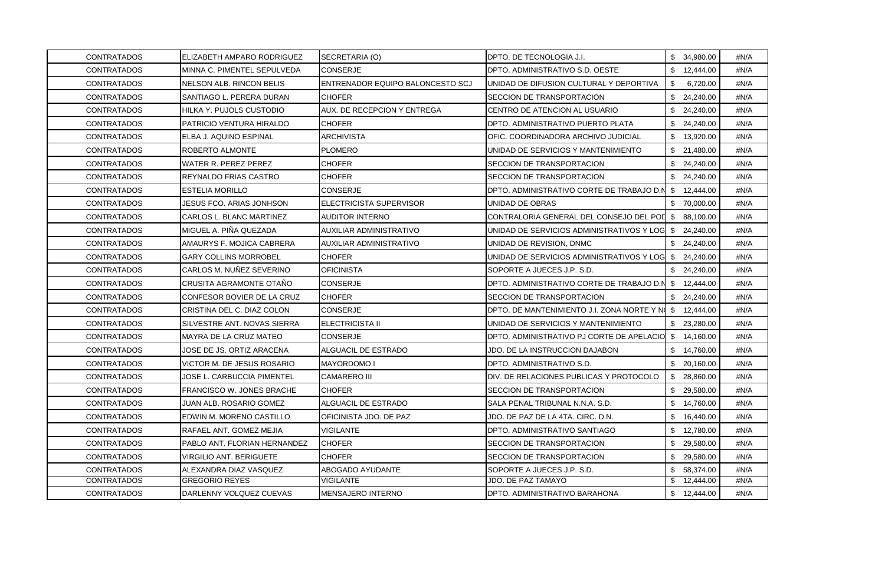| <b>CONTRATADOS</b> | ELIZABETH AMPARO RODRIGUEZ      | SECRETARIA (O)                   | DPTO. DE TECNOLOGIA J.I.                             | \$ 34,980.00    | #N/A |
|--------------------|---------------------------------|----------------------------------|------------------------------------------------------|-----------------|------|
| <b>CONTRATADOS</b> | MINNA C. PIMENTEL SEPULVEDA     | <b>CONSERJE</b>                  | DPTO. ADMINISTRATIVO S.D. OESTE                      | \$12,444.00     | #N/A |
| <b>CONTRATADOS</b> | NELSON ALB. RINCON BELIS        | ENTRENADOR EQUIPO BALONCESTO SCJ | UNIDAD DE DIFUSION CULTURAL Y DEPORTIVA              | \$<br>6,720.00  | #N/A |
| <b>CONTRATADOS</b> | SANTIAGO L. PERERA DURAN        | <b>CHOFER</b>                    | SECCION DE TRANSPORTACION                            | \$24,240.00     | #N/A |
| <b>CONTRATADOS</b> | HILKA Y. PUJOLS CUSTODIO        | AUX. DE RECEPCION Y ENTREGA      | CENTRO DE ATENCION AL USUARIO                        | \$24,240.00     | #N/A |
| <b>CONTRATADOS</b> | PATRICIO VENTURA HIRALDO        | <b>CHOFER</b>                    | DPTO. ADMINISTRATIVO PUERTO PLATA                    | \$24,240.00     | #N/A |
| <b>CONTRATADOS</b> | ELBA J. AQUINO ESPINAL          | <b>ARCHIVISTA</b>                | OFIC. COORDINADORA ARCHIVO JUDICIAL                  | \$13,920.00     | #N/A |
| <b>CONTRATADOS</b> | ROBERTO ALMONTE                 | <b>PLOMERO</b>                   | UNIDAD DE SERVICIOS Y MANTENIMIENTO                  | \$21,480.00     | #N/A |
| <b>CONTRATADOS</b> | WATER R. PEREZ PEREZ            | CHOFER                           | SECCION DE TRANSPORTACION                            | \$24,240.00     | #N/A |
| <b>CONTRATADOS</b> | REYNALDO FRIAS CASTRO           | <b>CHOFER</b>                    | SECCION DE TRANSPORTACION                            | \$24,240.00     | #N/A |
| <b>CONTRATADOS</b> | <b>ESTELIA MORILLO</b>          | <b>CONSERJE</b>                  | DPTO. ADMINISTRATIVO CORTE DE TRABAJO D.N            | \$12,444.00     | #N/A |
| CONTRATADOS        | <b>JESUS FCO. ARIAS JONHSON</b> | ELECTRICISTA SUPERVISOR          | UNIDAD DE OBRAS                                      | \$70,000.00     | #N/A |
| <b>CONTRATADOS</b> | CARLOS L. BLANC MARTINEZ        | AUDITOR INTERNO                  | CONTRALORIA GENERAL DEL CONSEJO DEL POL \$ 88,100.00 |                 | #N/A |
| CONTRATADOS        | MIGUEL A. PIÑA QUEZADA          | AUXILIAR ADMINISTRATIVO          | UNIDAD DE SERVICIOS ADMINISTRATIVOS Y LOG            | \$24,240.00     | #N/A |
| <b>CONTRATADOS</b> | AMAURYS F. MOJICA CABRERA       | AUXILIAR ADMINISTRATIVO          | UNIDAD DE REVISION, DNMC                             | \$24,240.00     | #N/A |
| <b>CONTRATADOS</b> | <b>GARY COLLINS MORROBEL</b>    | <b>CHOFER</b>                    | UNIDAD DE SERVICIOS ADMINISTRATIVOS Y LOG            | \$24,240.00     | #N/A |
| <b>CONTRATADOS</b> | CARLOS M. NUÑEZ SEVERINO        | <b>OFICINISTA</b>                | SOPORTE A JUECES J.P. S.D.                           | \$24,240.00     | #N/A |
| <b>CONTRATADOS</b> | CRUSITA AGRAMONTE OTAÑO         | CONSERJE                         | DPTO. ADMINISTRATIVO CORTE DE TRABAJO D.N            | \$12,444.00     | #N/A |
| <b>CONTRATADOS</b> | CONFESOR BOVIER DE LA CRUZ      | <b>CHOFER</b>                    | SECCION DE TRANSPORTACION                            | \$24,240.00     | #N/A |
| <b>CONTRATADOS</b> | CRISTINA DEL C. DIAZ COLON      | <b>CONSERJE</b>                  | DPTO. DE MANTENIMIENTO J.I. ZONA NORTE Y NO          | \$12,444.00     | #N/A |
| <b>CONTRATADOS</b> | SILVESTRE ANT. NOVAS SIERRA     | <b>ELECTRICISTA II</b>           | UNIDAD DE SERVICIOS Y MANTENIMIENTO                  | \$23,280.00     | #N/A |
| <b>CONTRATADOS</b> | MAYRA DE LA CRUZ MATEO          | <b>CONSERJE</b>                  | DPTO. ADMINISTRATIVO PJ CORTE DE APELACIO            | \$14,160.00     | #N/A |
| <b>CONTRATADOS</b> | JOSE DE JS. ORTIZ ARACENA       | ALGUACIL DE ESTRADO              | JDO. DE LA INSTRUCCION DAJABON                       | \$14,760.00     | #N/A |
| <b>CONTRATADOS</b> | VICTOR M. DE JESUS ROSARIO      | <b>MAYORDOMO I</b>               | DPTO. ADMINISTRATIVO S.D.                            | \$20,160.00     | #N/A |
| <b>CONTRATADOS</b> | JOSE L. CARBUCCIA PIMENTEL      | <b>CAMARERO III</b>              | DIV. DE RELACIONES PUBLICAS Y PROTOCOLO              | \$28,860.00     | #N/A |
| <b>CONTRATADOS</b> | FRANCISCO W. JONES BRACHE       | <b>CHOFER</b>                    | SECCION DE TRANSPORTACION                            | \$29,580.00     | #N/A |
| <b>CONTRATADOS</b> | JUAN ALB. ROSARIO GOMEZ         | ALGUACIL DE ESTRADO              | SALA PENAL TRIBUNAL N.N.A. S.D.                      | \$14,760.00     | #N/A |
| <b>CONTRATADOS</b> | EDWIN M. MORENO CASTILLO        | OFICINISTA JDO. DE PAZ           | JDO. DE PAZ DE LA 4TA. CIRC. D.N.                    | \$16,440.00     | #N/A |
| <b>CONTRATADOS</b> | RAFAEL ANT. GOMEZ MEJIA         | <b>VIGILANTE</b>                 | DPTO. ADMINISTRATIVO SANTIAGO                        | \$12,780.00     | #N/A |
| <b>CONTRATADOS</b> | PABLO ANT. FLORIAN HERNANDEZ    | <b>CHOFER</b>                    | SECCION DE TRANSPORTACION                            | \$29,580.00     | #N/A |
| <b>CONTRATADOS</b> | VIRGILIO ANT. BERIGUETE         | <b>CHOFER</b>                    | SECCION DE TRANSPORTACION                            | \$29,580.00     | #N/A |
| <b>CONTRATADOS</b> | ALEXANDRA DIAZ VASQUEZ          | ABOGADO AYUDANTE                 | SOPORTE A JUECES J.P. S.D.                           | \$58,374.00     | #N/A |
| <b>CONTRATADOS</b> | GREGORIO REYES                  | VIGILANTE                        | JDO. DE PAZ TAMAYO                                   | 12,444.00<br>\$ | #N/A |
| <b>CONTRATADOS</b> | DARLENNY VOLQUEZ CUEVAS         | <b>MENSAJERO INTERNO</b>         | DPTO. ADMINISTRATIVO BARAHONA                        | \$12,444.00     | #N/A |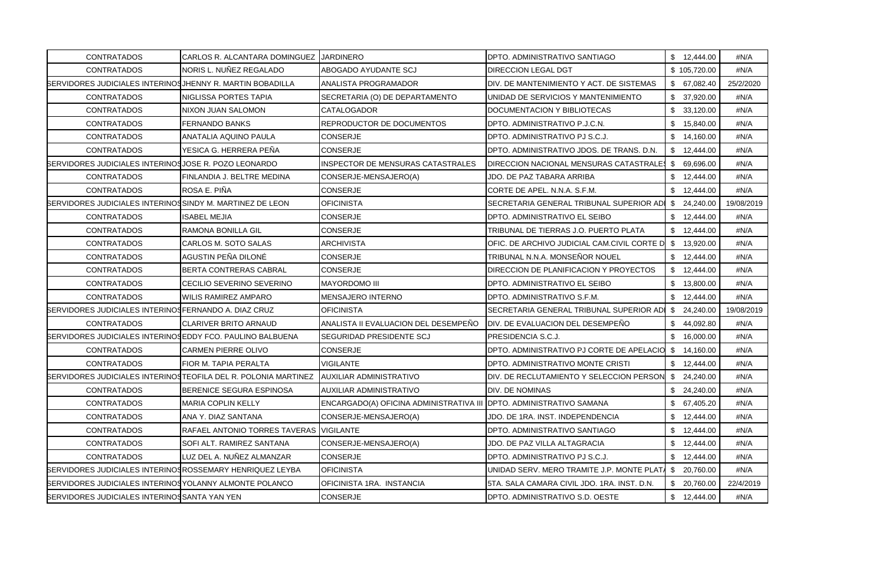| <b>CONTRATADOS</b>                                                | CARLOS R. ALCANTARA DOMINGUEZ JARDINERO                        |                                                                     | DPTO. ADMINISTRATIVO SANTIAGO               | \$12,444.00      | #N/A       |
|-------------------------------------------------------------------|----------------------------------------------------------------|---------------------------------------------------------------------|---------------------------------------------|------------------|------------|
| <b>CONTRATADOS</b>                                                | NORIS L. NUNEZ REGALADO                                        | ABOGADO AYUDANTE SCJ                                                | DIRECCION LEGAL DGT                         | \$105,720.00     | #N/A       |
| <b>SERVIDORES JUDICIALES INTERINOS JHENNY R. MARTIN BOBADILLA</b> |                                                                | ANALISTA PROGRAMADOR                                                | DIV. DE MANTENIMIENTO Y ACT. DE SISTEMAS    | \$67,082.40      | 25/2/2020  |
| <b>CONTRATADOS</b>                                                | NIGLISSA PORTES TAPIA                                          | SECRETARIA (O) DE DEPARTAMENTO                                      | UNIDAD DE SERVICIOS Y MANTENIMIENTO         | \$37,920.00      | #N/A       |
| <b>CONTRATADOS</b>                                                | NIXON JUAN SALOMON                                             | CATALOGADOR                                                         | DOCUMENTACION Y BIBLIOTECAS                 | \$33,120.00      | #N/A       |
| <b>CONTRATADOS</b>                                                | FERNANDO BANKS                                                 | REPRODUCTOR DE DOCUMENTOS                                           | DPTO. ADMINISTRATIVO P.J.C.N.               | \$15,840.00      | #N/A       |
| <b>CONTRATADOS</b>                                                | ANATALIA AQUINO PAULA                                          | CONSERJE                                                            | DPTO. ADMINISTRATIVO PJ S.C.J.              | \$14,160.00      | #N/A       |
| <b>CONTRATADOS</b>                                                | YESICA G. HERRERA PEÑA                                         | CONSERJE                                                            | DPTO. ADMINISTRATIVO JDOS. DE TRANS. D.N.   | \$12,444.00      | #N/A       |
| SERVIDORES JUDICIALES INTERINOS JOSE R. POZO LEONARDO             |                                                                | <b>INSPECTOR DE MENSURAS CATASTRALES</b>                            | DIRECCION NACIONAL MENSURAS CATASTRALES     | \$ 69,696.00     | #N/A       |
| <b>CONTRATADOS</b>                                                | FINLANDIA J. BELTRE MEDINA                                     | CONSERJE-MENSAJERO(A)                                               | JDO. DE PAZ TABARA ARRIBA                   | \$12,444.00      | #N/A       |
| <b>CONTRATADOS</b>                                                | ROSA E. PIÑA                                                   | CONSERJE                                                            | CORTE DE APEL. N.N.A. S.F.M.                | \$12,444.00      | #N/A       |
| <b>SERVIDORES JUDICIALES INTERINOSSINDY M. MARTINEZ DE LEON</b>   |                                                                | OFICINISTA                                                          | SECRETARIA GENERAL TRIBUNAL SUPERIOR ADI    | \$24,240.00      | 19/08/2019 |
| <b>CONTRATADOS</b>                                                | <b>ISABEL MEJIA</b>                                            | CONSERJE                                                            | DPTO. ADMINISTRATIVO EL SEIBO               | \$12,444.00      | #N/A       |
| <b>CONTRATADOS</b>                                                | RAMONA BONILLA GIL                                             | CONSERJE                                                            | TRIBUNAL DE TIERRAS J.O. PUERTO PLATA       | \$12,444.00      | #N/A       |
| <b>CONTRATADOS</b>                                                | CARLOS M. SOTO SALAS                                           | <b>ARCHIVISTA</b>                                                   | OFIC. DE ARCHIVO JUDICIAL CAM.CIVIL CORTE D | \$13,920.00      | #N/A       |
| <b>CONTRATADOS</b>                                                | AGUSTIN PEÑA DILONÉ                                            | CONSERJE                                                            | TRIBUNAL N.N.A. MONSEÑOR NOUEL              | \$12,444.00      | #N/A       |
| <b>CONTRATADOS</b>                                                | BERTA CONTRERAS CABRAL                                         | CONSERJE                                                            | DIRECCION DE PLANIFICACION Y PROYECTOS      | \$12,444.00      | #N/A       |
| <b>CONTRATADOS</b>                                                | CECILIO SEVERINO SEVERINO                                      | <b>MAYORDOMO III</b>                                                | DPTO. ADMINISTRATIVO EL SEIBO               | \$13,800.00      | #N/A       |
| <b>CONTRATADOS</b>                                                | <b>WILIS RAMIREZ AMPARO</b>                                    | MENSAJERO INTERNO                                                   | DPTO. ADMINISTRATIVO S.F.M.                 | \$12,444.00      | #N/A       |
| BERVIDORES JUDICIALES INTERINOSFERNANDO A. DIAZ CRUZ              |                                                                | OFICINISTA                                                          | SECRETARIA GENERAL TRIBUNAL SUPERIOR ADI    | \$24,240.00      | 19/08/2019 |
| <b>CONTRATADOS</b>                                                | <b>CLARIVER BRITO ARNAUD</b>                                   | ANALISTA II EVALUACION DEL DESEMPEÑO                                | DIV. DE EVALUACION DEL DESEMPEÑO            | \$44,092.80      | #N/A       |
| <b>SERVIDORES JUDICIALES INTERINOS EDDY FCO. PAULINO BALBUENA</b> |                                                                | SEGURIDAD PRESIDENTE SCJ                                            | PRESIDENCIA S.C.J.                          | \$16,000.00      | #N/A       |
| <b>CONTRATADOS</b>                                                | <b>CARMEN PIERRE OLIVO</b>                                     | CONSERJE                                                            | DPTO. ADMINISTRATIVO PJ CORTE DE APELACIO   | \$14,160.00      | #N/A       |
| <b>CONTRATADOS</b>                                                | FIOR M. TAPIA PERALTA                                          | <b>VIGILANTE</b>                                                    | DPTO. ADMINISTRATIVO MONTE CRISTI           | \$12,444.00      | #N/A       |
|                                                                   | SERVIDORES JUDICIALES INTERINOSTEOFILA DEL R. POLONIA MARTINEZ | <b>JAUXILIAR ADMINISTRATIVO</b>                                     | DIV. DE RECLUTAMIENTO Y SELECCION PERSON    | \$24,240.00      | #N/A       |
| <b>CONTRATADOS</b>                                                | BERENICE SEGURA ESPINOSA                                       | AUXILIAR ADMINISTRATIVO                                             | DIV. DE NOMINAS                             | \$24,240.00      | #N/A       |
| <b>CONTRATADOS</b>                                                | <b>MARIA COPLIN KELLY</b>                                      | ENCARGADO(A) OFICINA ADMINISTRATIVA III DPTO. ADMINISTRATIVO SAMANA |                                             | \$67,405.20      | #N/A       |
| <b>CONTRATADOS</b>                                                | ANA Y. DIAZ SANTANA                                            | CONSERJE-MENSAJERO(A)                                               | JDO. DE 1RA. INST. INDEPENDENCIA            | \$12,444.00      | #N/A       |
| <b>CONTRATADOS</b>                                                | RAFAEL ANTONIO TORRES TAVERAS VIGILANTE                        |                                                                     | DPTO. ADMINISTRATIVO SANTIAGO               | \$12,444.00      | #N/A       |
| <b>CONTRATADOS</b>                                                | SOFI ALT. RAMIREZ SANTANA                                      | CONSERJE-MENSAJERO(A)                                               | JDO. DE PAZ VILLA ALTAGRACIA                | \$12,444.00      | #N/A       |
| <b>CONTRATADOS</b>                                                | LUZ DEL A. NUÑEZ ALMANZAR                                      | CONSERJE                                                            | DPTO. ADMINISTRATIVO PJ S.C.J.              | \$12,444.00      | #N/A       |
| <b>SERVIDORES JUDICIALES INTERINOSROSSEMARY HENRIQUEZ LEYBA</b>   |                                                                | OFICINISTA                                                          | UNIDAD SERV. MERO TRAMITE J.P. MONTE PLAT/  | \$20,760.00      | #N/A       |
| <b>SERVIDORES JUDICIALES INTERINOS YOLANNY ALMONTE POLANCO</b>    |                                                                | OFICINISTA 1RA. INSTANCIA                                           | 5TA. SALA CAMARA CIVIL JDO. 1RA. INST. D.N. | \$.<br>20,760.00 | 22/4/2019  |
| SERVIDORES JUDICIALES INTERINOS SANTA YAN YEN                     |                                                                | CONSERJE                                                            | DPTO. ADMINISTRATIVO S.D. OESTE             | \$12,444.00      | #N/A       |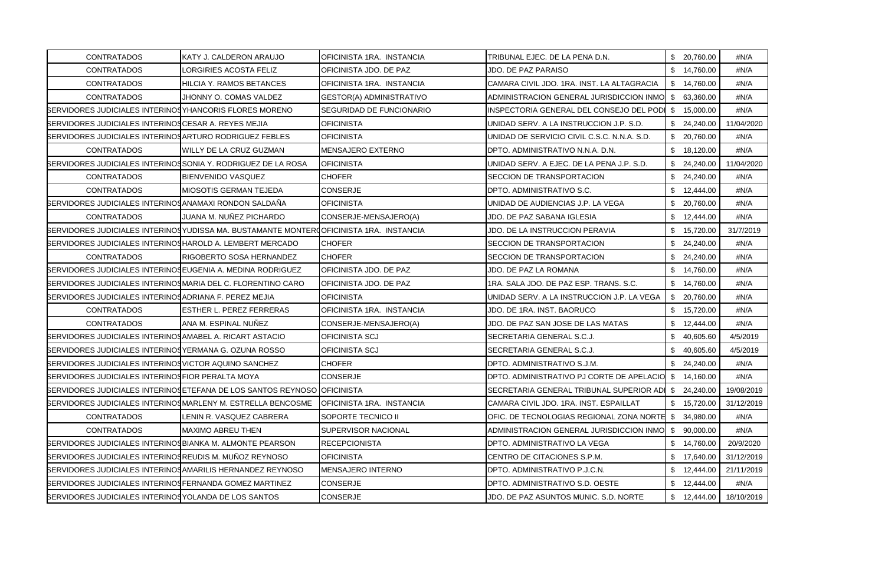| <b>CONTRATADOS</b>                                                 | KATY J. CALDERON ARAUJO                                                                  | OFICINISTA 1RA. INSTANCIA  | TRIBUNAL EJEC. DE LA PENA D.N.                         | \$20,760.00  | #N/A       |
|--------------------------------------------------------------------|------------------------------------------------------------------------------------------|----------------------------|--------------------------------------------------------|--------------|------------|
| <b>CONTRATADOS</b>                                                 | LORGIRIES ACOSTA FELIZ                                                                   | OFICINISTA JDO. DE PAZ     | JDO. DE PAZ PARAISO                                    | \$14,760.00  | #N/A       |
| <b>CONTRATADOS</b>                                                 | HILCIA Y. RAMOS BETANCES                                                                 | OFICINISTA 1RA. INSTANCIA  | CAMARA CIVIL JDO. 1RA. INST. LA ALTAGRACIA             | \$14,760.00  | #N/A       |
| <b>CONTRATADOS</b>                                                 | JHONNY O. COMAS VALDEZ                                                                   | GESTOR(A) ADMINISTRATIVO   | ADMINISTRACION GENERAL JURISDICCION INMO \$ 63,360.00  |              | #N/A       |
| <b>SERVIDORES JUDICIALES INTERINOS YHANCORIS FLORES MORENO</b>     |                                                                                          | SEGURIDAD DE FUNCIONARIO   | INSPECTORIA GENERAL DEL CONSEJO DEL PODI               | \$15,000.00  | #N/A       |
| SERVIDORES JUDICIALES INTERINOS CESAR A. REYES MEJIA               |                                                                                          | <b>OFICINISTA</b>          | UNIDAD SERV. A LA INSTRUCCION J.P. S.D.                | \$24,240.00  | 11/04/2020 |
| <b>SERVIDORES JUDICIALES INTERINOSARTURO RODRIGUEZ FEBLES</b>      |                                                                                          | <b>OFICINISTA</b>          | UNIDAD DE SERVICIO CIVIL C.S.C. N.N.A. S.D.            | \$20,760.00  | #N/A       |
| <b>CONTRATADOS</b>                                                 | WILLY DE LA CRUZ GUZMAN                                                                  | <b>MENSAJERO EXTERNO</b>   | DPTO. ADMINISTRATIVO N.N.A. D.N.                       | \$18,120.00  | #N/A       |
| BERVIDORES JUDICIALES INTERINOSSONIA Y. RODRIGUEZ DE LA ROSA       |                                                                                          | <b>OFICINISTA</b>          | UNIDAD SERV. A EJEC. DE LA PENA J.P. S.D.              | \$24,240.00  | 11/04/2020 |
| <b>CONTRATADOS</b>                                                 | BIENVENIDO VASQUEZ                                                                       | CHOFER                     | SECCION DE TRANSPORTACION                              | \$24,240.00  | #N/A       |
| <b>CONTRATADOS</b>                                                 | MIOSOTIS GERMAN TEJEDA                                                                   | CONSERJE                   | DPTO. ADMINISTRATIVO S.C.                              | \$12,444.00  | #N/A       |
| SERVIDORES JUDICIALES INTERINOS ANAMAXI RONDON SALDAÑA             |                                                                                          | <b>OFICINISTA</b>          | UNIDAD DE AUDIENCIAS J.P. LA VEGA                      | \$ 20,760.00 | #N/A       |
| <b>CONTRATADOS</b>                                                 | JUANA M. NUÑEZ PICHARDO                                                                  | CONSERJE-MENSAJERO(A)      | JDO. DE PAZ SABANA IGLESIA                             | \$12,444.00  | #N/A       |
|                                                                    | BERVIDORES JUDICIALES INTERINOS YUDISSA MA. BUSTAMANTE MONTER COFICINISTA 1RA. INSTANCIA |                            | JDO. DE LA INSTRUCCION PERAVIA                         | \$15,720.00  | 31/7/2019  |
| BERVIDORES JUDICIALES INTERINOSHAROLD A. LEMBERT MERCADO           |                                                                                          | <b>CHOFER</b>              | SECCION DE TRANSPORTACION                              | \$24,240.00  | #N/A       |
| <b>CONTRATADOS</b>                                                 | RIGOBERTO SOSA HERNANDEZ                                                                 | <b>CHOFER</b>              | SECCION DE TRANSPORTACION                              | \$24,240.00  | #N/A       |
| <b>BERVIDORES JUDICIALES INTERINOSEUGENIA A. MEDINA RODRIGUEZ</b>  |                                                                                          | OFICINISTA JDO. DE PAZ     | JDO. DE PAZ LA ROMANA                                  | \$14,760.00  | #N/A       |
| <b>SERVIDORES JUDICIALES INTERINOSMARIA DEL C. FLORENTINO CARO</b> |                                                                                          | OFICINISTA JDO. DE PAZ     | 1RA. SALA JDO. DE PAZ ESP. TRANS. S.C.                 | \$14,760.00  | #N/A       |
| BERVIDORES JUDICIALES INTERINOSADRIANA F. PEREZ MEJIA              |                                                                                          | <b>OFICINISTA</b>          | UNIDAD SERV. A LA INSTRUCCION J.P. LA VEGA             | \$20,760.00  | #N/A       |
| <b>CONTRATADOS</b>                                                 | <b>ESTHER L. PEREZ FERRERAS</b>                                                          | OFICINISTA 1RA. INSTANCIA  | JDO. DE 1RA. INST. BAORUCO                             | \$15,720.00  | #N/A       |
| CONTRATADOS                                                        | ANA M. ESPINAL NUNEZ                                                                     | CONSERJE-MENSAJERO(A)      | JDO. DE PAZ SAN JOSE DE LAS MATAS                      | \$12,444.00  | #N/A       |
| <b>SERVIDORES JUDICIALES INTERINOS AMABEL A. RICART ASTACIO</b>    |                                                                                          | OFICINISTA SCJ             | SECRETARIA GENERAL S.C.J.                              | \$40,605.60  | 4/5/2019   |
| SERVIDORES JUDICIALES INTERINOS YERMANA G. OZUNA ROSSO             |                                                                                          | OFICINISTA SCJ             | SECRETARIA GENERAL S.C.J.                              | \$40,605.60  | 4/5/2019   |
| SERVIDORES JUDICIALES INTERINOS VICTOR AQUINO SANCHEZ              |                                                                                          | <b>CHOFER</b>              | DPTO. ADMINISTRATIVO S.J.M.                            | \$24,240.00  | #N/A       |
| SERVIDORES JUDICIALES INTERINOSFIOR PERALTA MOYA                   |                                                                                          | CONSERJE                   | DPTO. ADMINISTRATIVO PJ CORTE DE APELACIO \$ 14.160.00 |              | #N/A       |
|                                                                    | BERVIDORES JUDICIALES INTERINOS ETEFANA DE LOS SANTOS REYNOSO OFICINISTA                 |                            | SECRETARIA GENERAL TRIBUNAL SUPERIOR AD \$ 24,240.00   |              | 19/08/2019 |
|                                                                    | <b>SERVIDORES JUDICIALES INTERINOSMARLENY M. ESTRELLA BENCOSME</b>                       | IOFICINISTA 1RA. INSTANCIA | CAMARA CIVIL JDO, 1RA, INST, ESPAILLAT                 | \$15,720.00  | 31/12/2019 |
| <b>CONTRATADOS</b>                                                 | LENIN R. VASQUEZ CABRERA                                                                 | SOPORTE TECNICO II         | OFIC. DE TECNOLOGIAS REGIONAL ZONA NORTE \$ 34,980.00  |              | #N/A       |
| <b>CONTRATADOS</b>                                                 | <b>MAXIMO ABREU THEN</b>                                                                 | SUPERVISOR NACIONAL        | ADMINISTRACION GENERAL JURISDICCION INMO               | \$90,000.00  | #N/A       |
| <b>SERVIDORES JUDICIALES INTERINOS BIANKA M. ALMONTE PEARSON</b>   |                                                                                          | <b>RECEPCIONISTA</b>       | DPTO. ADMINISTRATIVO LA VEGA                           | \$14,760.00  | 20/9/2020  |
| <b>BERVIDORES JUDICIALES INTERINOSREUDIS M. MUNOZ REYNOSO</b>      |                                                                                          | <b>OFICINISTA</b>          | CENTRO DE CITACIONES S.P.M.                            | \$17,640.00  | 31/12/2019 |
| <b>SERVIDORES JUDICIALES INTERINOS AMARILIS HERNANDEZ REYNOSO</b>  |                                                                                          | <b>MENSAJERO INTERNO</b>   | DPTO. ADMINISTRATIVO P.J.C.N.                          | \$12,444.00  | 21/11/2019 |
| SERVIDORES JUDICIALES INTERINOS FERNANDA GOMEZ MARTINEZ            |                                                                                          | CONSERJE                   | DPTO, ADMINISTRATIVO S.D. OESTE                        | \$12,444.00  | #N/A       |
| SERVIDORES JUDICIALES INTERINOS YOLANDA DE LOS SANTOS              |                                                                                          | <b>CONSERJE</b>            | JDO. DE PAZ ASUNTOS MUNIC. S.D. NORTE                  | \$12,444.00  | 18/10/2019 |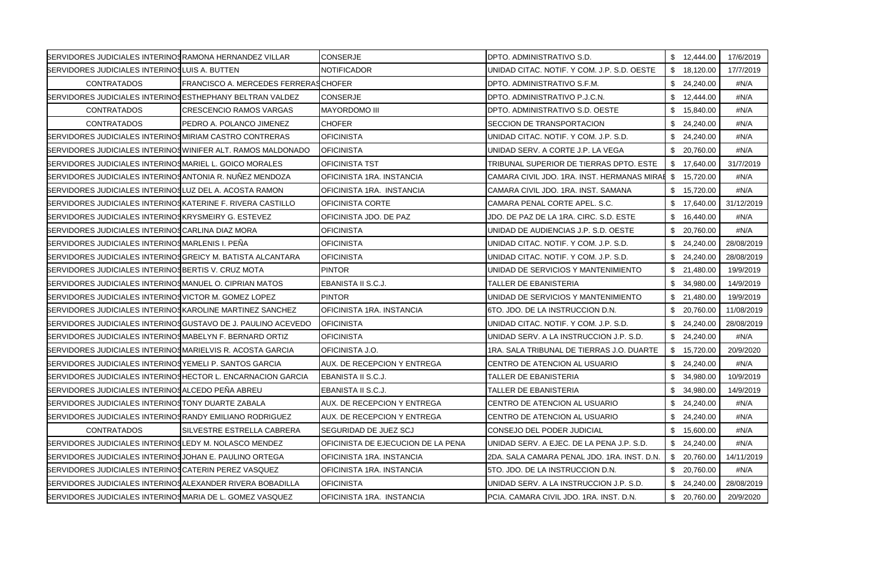| SERVIDORES JUDICIALES INTERINOS RAMONA HERNANDEZ VILLAR              |                                             | <b>CONSERJE</b>                    | DPTO. ADMINISTRATIVO S.D.                   | \$12,444.00  | 17/6/2019  |
|----------------------------------------------------------------------|---------------------------------------------|------------------------------------|---------------------------------------------|--------------|------------|
| SERVIDORES JUDICIALES INTERINOSLUIS A. BUTTEN                        |                                             | <b>NOTIFICADOR</b>                 | UNIDAD CITAC. NOTIF. Y COM. J.P. S.D. OESTE | \$18,120.00  | 17/7/2019  |
| <b>CONTRATADOS</b>                                                   | <b>FRANCISCO A. MERCEDES FERRERASCHOFER</b> |                                    | DPTO. ADMINISTRATIVO S.F.M.                 | \$24,240.00  | #N/A       |
| <b>SERVIDORES JUDICIALES INTERINOSESTHEPHANY BELTRAN VALDEZ</b>      |                                             | <b>CONSERJE</b>                    | DPTO. ADMINISTRATIVO P.J.C.N.               | \$12,444.00  | #N/A       |
| <b>CONTRATADOS</b>                                                   | <b>CRESCENCIO RAMOS VARGAS</b>              | <b>MAYORDOMO III</b>               | DPTO. ADMINISTRATIVO S.D. OESTE             | \$15,840.00  | #N/A       |
| <b>CONTRATADOS</b>                                                   | PEDRO A. POLANCO JIMENEZ                    | <b>CHOFER</b>                      | SECCION DE TRANSPORTACION                   | \$24,240.00  | #N/A       |
| <b>SERVIDORES JUDICIALES INTERINOSMIRIAM CASTRO CONTRERAS</b>        |                                             | <b>OFICINISTA</b>                  | UNIDAD CITAC. NOTIF. Y COM. J.P. S.D.       | \$24,240.00  | #N/A       |
| <b>SERVIDORES JUDICIALES INTERINOS WINIFER ALT. RAMOS MALDONADO</b>  |                                             | <b>OFICINISTA</b>                  | UNIDAD SERV. A CORTE J.P. LA VEGA           | \$20,760.00  | #N/A       |
| SERVIDORES JUDICIALES INTERINOSMARIEL L. GOICO MORALES               |                                             | <b>OFICINISTA TST</b>              | TRIBUNAL SUPERIOR DE TIERRAS DPTO. ESTE     | \$ 17,640.00 | 31/7/2019  |
| <b>SERVIDORES JUDICIALES INTERINOS ANTONIA R. NUÑEZ MENDOZA</b>      |                                             | OFICINISTA 1RA. INSTANCIA          | CAMARA CIVIL JDO. 1RA. INST. HERMANAS MIRAE | \$15,720.00  | #N/A       |
| <b>SERVIDORES JUDICIALES INTERINOSLUZ DEL A. ACOSTA RAMON</b>        |                                             | OFICINISTA 1RA. INSTANCIA          | CAMARA CIVIL JDO. 1RA. INST. SAMANA         | \$15,720.00  | #N/A       |
| <b>SERVIDORES JUDICIALES INTERINOSKATERINE F. RIVERA CASTILLO</b>    |                                             | <b>OFICINISTA CORTE</b>            | CAMARA PENAL CORTE APEL, S.C.               | \$17,640.00  | 31/12/2019 |
| SERVIDORES JUDICIALES INTERINOSKRYSMEIRY G. ESTEVEZ                  |                                             | OFICINISTA JDO. DE PAZ             | JDO. DE PAZ DE LA 1RA. CIRC. S.D. ESTE      | \$16,440.00  | #N/A       |
| SERVIDORES JUDICIALES INTERINOSCARLINA DIAZ MORA                     |                                             | <b>OFICINISTA</b>                  | UNIDAD DE AUDIENCIAS J.P. S.D. OESTE        | \$20,760.00  | #N/A       |
| SERVIDORES JUDICIALES INTERINOSMARLENIS I. PEÑA                      |                                             | <b>OFICINISTA</b>                  | UNIDAD CITAC. NOTIF. Y COM. J.P. S.D.       | \$24,240.00  | 28/08/2019 |
| <b>BERVIDORES JUDICIALES INTERINOSGREICY M. BATISTA ALCANTARA</b>    |                                             | <b>OFICINISTA</b>                  | UNIDAD CITAC. NOTIF. Y COM. J.P. S.D.       | \$24,240.00  | 28/08/2019 |
| SERVIDORES JUDICIALES INTERINOS BERTIS V. CRUZ MOTA                  |                                             | <b>PINTOR</b>                      | UNIDAD DE SERVICIOS Y MANTENIMIENTO         | \$21,480.00  | 19/9/2019  |
| SERVIDORES JUDICIALES INTERINOS MANUEL O. CIPRIAN MATOS              |                                             | EBANISTA II S.C.J.                 | TALLER DE EBANISTERIA                       | \$34,980.00  | 14/9/2019  |
| SERVIDORES JUDICIALES INTERINOSVICTOR M. GOMEZ LOPEZ                 |                                             | <b>PINTOR</b>                      | UNIDAD DE SERVICIOS Y MANTENIMIENTO         | \$21,480.00  | 19/9/2019  |
| SERVIDORES JUDICIALES INTERINOSKAROLINE MARTINEZ SANCHEZ             |                                             | OFICINISTA 1RA. INSTANCIA          | 6TO, JDO, DE LA INSTRUCCION D.N.            | \$20,760.00  | 11/08/2019 |
| <b>SERVIDORES JUDICIALES INTERINOS GUSTAVO DE J. PAULINO ACEVEDO</b> |                                             | <b>OFICINISTA</b>                  | UNIDAD CITAC. NOTIF. Y COM. J.P. S.D.       | \$24,240.00  | 28/08/2019 |
| SERVIDORES JUDICIALES INTERINOSMABELYN F. BERNARD ORTIZ              |                                             | <b>OFICINISTA</b>                  | UNIDAD SERV. A LA INSTRUCCION J.P. S.D.     | \$24,240.00  | #N/A       |
| <b>SERVIDORES JUDICIALES INTERINOS MARIELVIS R. ACOSTA GARCIA</b>    |                                             | OFICINISTA J.O.                    | 1RA. SALA TRIBUNAL DE TIERRAS J.O. DUARTE   | \$15,720.00  | 20/9/2020  |
| SERVIDORES JUDICIALES INTERINOSYEMELI P. SANTOS GARCIA               |                                             | AUX. DE RECEPCION Y ENTREGA        | CENTRO DE ATENCION AL USUARIO               | \$24,240.00  | #N/A       |
| <b>BERVIDORES JUDICIALES INTERINOSHECTOR L. ENCARNACION GARCIA</b>   |                                             | EBANISTA II S.C.J.                 | <b>TALLER DE EBANISTERIA</b>                | \$ 34,980.00 | 10/9/2019  |
| SERVIDORES JUDICIALES INTERINOSALCEDO PEÑA ABREU                     |                                             | EBANISTA II S.C.J.                 | TALLER DE EBANISTERIA                       | \$34,980.00  | 14/9/2019  |
| SERVIDORES JUDICIALES INTERINOSTONY DUARTE ZABALA                    |                                             | AUX. DE RECEPCION Y ENTREGA        | CENTRO DE ATENCION AL USUARIO               | \$24,240.00  | #N/A       |
| SERVIDORES JUDICIALES INTERINOS RANDY EMILIANO RODRIGUEZ             |                                             | AUX. DE RECEPCION Y ENTREGA        | CENTRO DE ATENCION AL USUARIO               | \$24,240.00  | #N/A       |
| <b>CONTRATADOS</b>                                                   | <b>ISILVESTRE ESTRELLA CABRERA</b>          | ISEGURIDAD DE JUEZ SCJ             | CONSEJO DEL PODER JUDICIAL                  | \$15,600.00  | #N/A       |
| SERVIDORES JUDICIALES INTERINOSLEDY M. NOLASCO MENDEZ                |                                             | OFICINISTA DE EJECUCION DE LA PENA | UNIDAD SERV. A EJEC. DE LA PENA J.P. S.D.   | \$24,240.00  | #N/A       |
| <b>SERVIDORES JUDICIALES INTERINOS JOHAN E. PAULINO ORTEGA</b>       |                                             | OFICINISTA 1RA. INSTANCIA          | 2DA. SALA CAMARA PENAL JDO. 1RA. INST. D.N. | \$ 20,760.00 | 14/11/2019 |
| SERVIDORES JUDICIALES INTERINOS CATERIN PEREZ VASQUEZ                |                                             | OFICINISTA 1RA. INSTANCIA          | 5TO. JDO. DE LA INSTRUCCION D.N.            | \$20,760.00  | #N/A       |
| <b>SERVIDORES JUDICIALES INTERINOS ALEXANDER RIVERA BOBADILLA</b>    |                                             | <b>OFICINISTA</b>                  | UNIDAD SERV. A LA INSTRUCCION J.P. S.D.     | \$24,240.00  | 28/08/2019 |
| SERVIDORES JUDICIALES INTERINOSMARIA DE L. GOMEZ VASQUEZ             |                                             | OFICINISTA 1RA. INSTANCIA          | PCIA. CAMARA CIVIL JDO. 1RA. INST. D.N.     | \$ 20,760.00 | 20/9/2020  |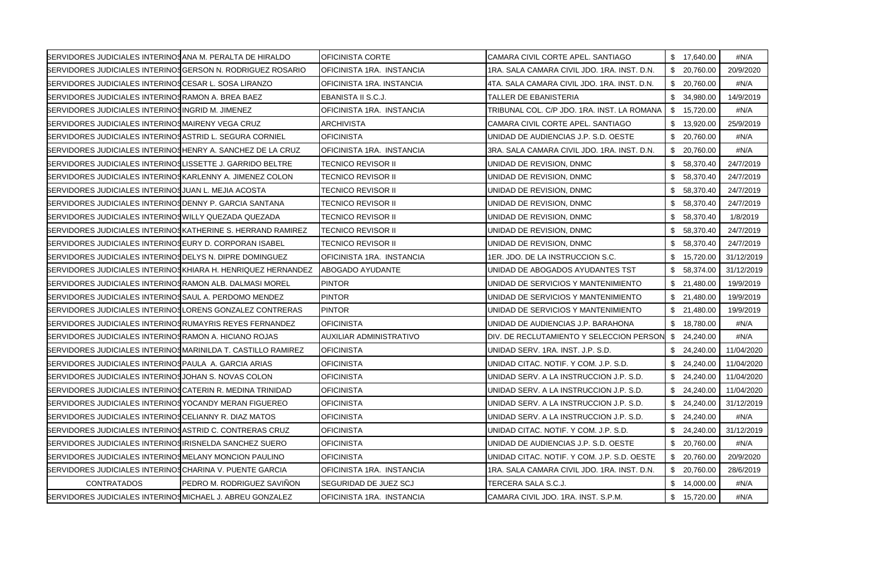| SERVIDORES JUDICIALES INTERINOS ANA M. PERALTA DE HIRALDO           |                            | OFICINISTA CORTE               | CAMARA CIVIL CORTE APEL. SANTIAGO           | \$17,640.00     | #N/A       |
|---------------------------------------------------------------------|----------------------------|--------------------------------|---------------------------------------------|-----------------|------------|
| SERVIDORES JUDICIALES INTERINOS GERSON N. RODRIGUEZ ROSARIO         |                            | OFICINISTA 1RA. INSTANCIA      | 1RA. SALA CAMARA CIVIL JDO. 1RA. INST. D.N. | \$20,760.00     | 20/9/2020  |
| SERVIDORES JUDICIALES INTERINOSCESAR L. SOSA LIRANZO                |                            | OFICINISTA 1RA. INSTANCIA      | 4TA. SALA CAMARA CIVIL JDO. 1RA. INST. D.N. | \$20,760.00     | #N/A       |
| SERVIDORES JUDICIALES INTERINOS RAMON A. BREA BAEZ                  |                            | EBANISTA II S.C.J.             | TALLER DE EBANISTERIA                       | \$ 34,980.00    | 14/9/2019  |
| SERVIDORES JUDICIALES INTERINOSINGRID M. JIMENEZ                    |                            | OFICINISTA 1RA. INSTANCIA      | TRIBUNAL COL. C/P JDO. 1RA. INST. LA ROMANA | \$15,720.00     | #N/A       |
| SERVIDORES JUDICIALES INTERINOSMAIRENY VEGA CRUZ                    |                            | <b>ARCHIVISTA</b>              | CAMARA CIVIL CORTE APEL. SANTIAGO           | \$13,920.00     | 25/9/2019  |
| <b>SERVIDORES JUDICIALES INTERINOSASTRID L. SEGURA CORNIEL</b>      |                            | <b>OFICINISTA</b>              | UNIDAD DE AUDIENCIAS J.P. S.D. OESTE        | \$20,760.00     | #N/A       |
| <b>SERVIDORES JUDICIALES INTERINOSHENRY A. SANCHEZ DE LA CRUZ</b>   |                            | OFICINISTA 1RA. INSTANCIA      | 3RA. SALA CAMARA CIVIL JDO. 1RA. INST. D.N. | \$20,760.00     | #N/A       |
| <b>SERVIDORES JUDICIALES INTERINOSLISSETTE J. GARRIDO BELTRE</b>    |                            | <b>TECNICO REVISOR II</b>      | UNIDAD DE REVISION, DNMC                    | \$58,370.40     | 24/7/2019  |
| <b>SERVIDORES JUDICIALES INTERINOSKARLENNY A. JIMENEZ COLON</b>     |                            | TECNICO REVISOR II             | UNIDAD DE REVISION, DNMC                    | \$58,370.40     | 24/7/2019  |
| SERVIDORES JUDICIALES INTERINOS JUAN L. MEJIA ACOSTA                |                            | <b>TECNICO REVISOR II</b>      | UNIDAD DE REVISION, DNMC                    | \$58,370.40     | 24/7/2019  |
| <b>SERVIDORES JUDICIALES INTERINOS DENNY P. GARCIA SANTANA</b>      |                            | <b>TECNICO REVISOR II</b>      | UNIDAD DE REVISION, DNMC                    | \$58,370.40     | 24/7/2019  |
| SERVIDORES JUDICIALES INTERINOS WILLY QUEZADA QUEZADA               |                            | <b>TECNICO REVISOR II</b>      | UNIDAD DE REVISION, DNMC                    | \$<br>58,370.40 | 1/8/2019   |
| <b>SERVIDORES JUDICIALES INTERINOS KATHERINE S. HERRAND RAMIREZ</b> |                            | <b>TECNICO REVISOR II</b>      | UNIDAD DE REVISION, DNMC                    | \$58,370.40     | 24/7/2019  |
| <b>SERVIDORES JUDICIALES INTERINOSEURY D. CORPORAN ISABEL</b>       |                            | TECNICO REVISOR II             | UNIDAD DE REVISION, DNMC                    | \$58,370.40     | 24/7/2019  |
| <b>SERVIDORES JUDICIALES INTERINOS DELYS N. DIPRE DOMINGUEZ</b>     |                            | OFICINISTA 1RA. INSTANCIA      | 1ER. JDO. DE LA INSTRUCCION S.C.            | \$15,720.00     | 31/12/2019 |
| <b>SERVIDORES JUDICIALES INTERINOSKHIARA H. HENRIQUEZ HERNANDEZ</b> |                            | ABOGADO AYUDANTE               | UNIDAD DE ABOGADOS AYUDANTES TST            | \$ 58,374.00    | 31/12/2019 |
| SERVIDORES JUDICIALES INTERINOS RAMON ALB. DALMASI MOREL            |                            | <b>PINTOR</b>                  | UNIDAD DE SERVICIOS Y MANTENIMIENTO         | \$21,480.00     | 19/9/2019  |
| SERVIDORES JUDICIALES INTERINOS SAUL A. PERDOMO MENDEZ              |                            | <b>PINTOR</b>                  | UNIDAD DE SERVICIOS Y MANTENIMIENTO         | \$21,480.00     | 19/9/2019  |
| <b>SERVIDORES JUDICIALES INTERINOSLORENS GONZALEZ CONTRERAS</b>     |                            | <b>PINTOR</b>                  | UNIDAD DE SERVICIOS Y MANTENIMIENTO         | \$21,480.00     | 19/9/2019  |
| <b>SERVIDORES JUDICIALES INTERINOS RUMAYRIS REYES FERNANDEZ</b>     |                            | <b>OFICINISTA</b>              | UNIDAD DE AUDIENCIAS J.P. BARAHONA          | \$18,780.00     | #N/A       |
| SERVIDORES JUDICIALES INTERINOS RAMON A. HICIANO ROJAS              |                            | <b>AUXILIAR ADMINISTRATIVO</b> | DIV. DE RECLUTAMIENTO Y SELECCION PERSON    | \$24.240.00     | #N/A       |
| SERVIDORES JUDICIALES INTERINOS MARINILDA T. CASTILLO RAMIREZ       |                            | <b>OFICINISTA</b>              | UNIDAD SERV. 1RA. INST. J.P. S.D.           | \$24,240.00     | 11/04/2020 |
| <b>SERVIDORES JUDICIALES INTERINOS PAULA A. GARCIA ARIAS</b>        |                            | <b>OFICINISTA</b>              | UNIDAD CITAC. NOTIF. Y COM. J.P. S.D.       | \$24,240.00     | 11/04/2020 |
| SERVIDORES JUDICIALES INTERINOS JOHAN S. NOVAS COLON                |                            | OFICINISTA                     | UNIDAD SERV. A LA INSTRUCCION J.P. S.D.     | \$24,240.00     | 11/04/2020 |
| SERVIDORES JUDICIALES INTERINOS CATERIN R. MEDINA TRINIDAD          |                            | <b>OFICINISTA</b>              | UNIDAD SERV. A LA INSTRUCCION J.P. S.D.     | \$24,240.00     | 11/04/2020 |
| SERVIDORES JUDICIALES INTERINOS YOCANDY MERAN FIGUEREO              |                            | <b>OFICINISTA</b>              | UNIDAD SERV. A LA INSTRUCCION J.P. S.D.     | \$24,240.00     | 31/12/2019 |
| SERVIDORES JUDICIALES INTERINOS CELIANNY R. DIAZ MATOS              |                            | <b>OFICINISTA</b>              | UNIDAD SERV. A LA INSTRUCCION J.P. S.D.     | \$24,240.00     | #N/A       |
| SERVIDORES JUDICIALES INTERINOS ASTRID C. CONTRERAS CRUZ            |                            | OFICINISTA                     | UNIDAD CITAC. NOTIF. Y COM. J.P. S.D.       | \$24,240.00     | 31/12/2019 |
| <b>SERVIDORES JUDICIALES INTERINOSIRISNELDA SANCHEZ SUERO</b>       |                            | OFICINISTA                     | UNIDAD DE AUDIENCIAS J.P. S.D. OESTE        | \$20,760.00     | #N/A       |
| SERVIDORES JUDICIALES INTERINOSMELANY MONCION PAULINO               |                            | <b>OFICINISTA</b>              | UNIDAD CITAC. NOTIF. Y COM. J.P. S.D. OESTE | \$20,760.00     | 20/9/2020  |
| SERVIDORES JUDICIALES INTERINOS CHARINA V. PUENTE GARCIA            |                            | OFICINISTA 1RA. INSTANCIA      | 1RA. SALA CAMARA CIVIL JDO. 1RA. INST. D.N. | \$20,760.00     | 28/6/2019  |
| <b>CONTRATADOS</b>                                                  | PEDRO M. RODRIGUEZ SAVIÑON | <b>SEGURIDAD DE JUEZ SCJ</b>   | TERCERA SALA S.C.J.                         | \$14,000.00     | #N/A       |
| SERVIDORES JUDICIALES INTERINOSMICHAEL J. ABREU GONZALEZ            |                            | OFICINISTA 1RA. INSTANCIA      | CAMARA CIVIL JDO. 1RA. INST. S.P.M.         | \$15,720.00     | #N/A       |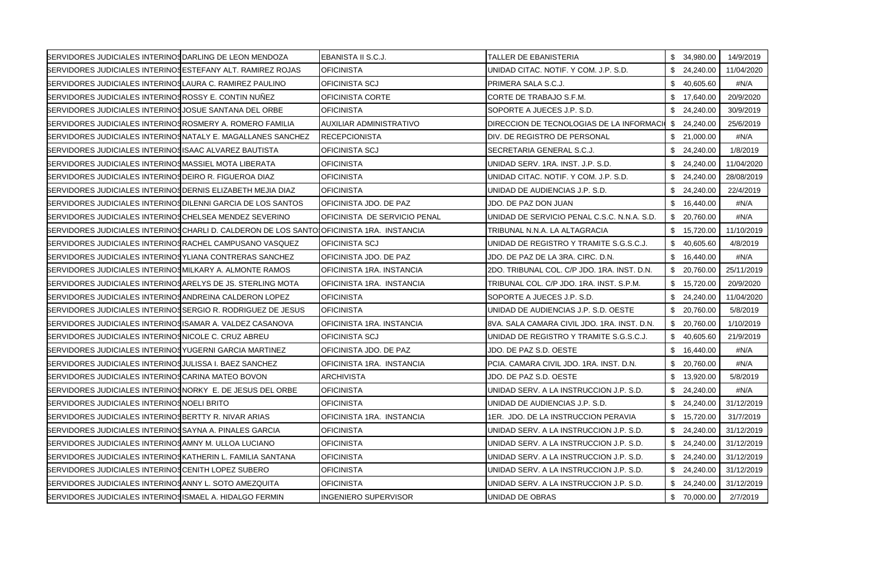| SERVIDORES JUDICIALES INTERINOS DARLING DE LEON MENDOZA             |                                                                                           | EBANISTA II S.C.J.           | TALLER DE EBANISTERIA                       |    | \$34,980.00  | 14/9/2019  |
|---------------------------------------------------------------------|-------------------------------------------------------------------------------------------|------------------------------|---------------------------------------------|----|--------------|------------|
| SERVIDORES JUDICIALES INTERINOSESTEFANY ALT. RAMIREZ ROJAS          |                                                                                           | <b>OFICINISTA</b>            | UNIDAD CITAC, NOTIF, Y COM, J.P. S.D.       |    | \$24,240.00  | 11/04/2020 |
| SERVIDORES JUDICIALES INTERINOS LAURA C. RAMIREZ PAULINO            |                                                                                           | OFICINISTA SCJ               | PRIMERA SALA S.C.J.                         | \$ | 40,605.60    | #N/A       |
| <b>SERVIDORES JUDICIALES INTERINOSROSSY E. CONTIN NUNEZ</b>         |                                                                                           | OFICINISTA CORTE             | CORTE DE TRABAJO S.F.M.                     |    | \$17,640.00  | 20/9/2020  |
| <b>SERVIDORES JUDICIALES INTERINOS JOSUE SANTANA DEL ORBE</b>       |                                                                                           | <b>OFICINISTA</b>            | SOPORTE A JUECES J.P. S.D.                  |    | \$24,240.00  | 30/9/2019  |
| <b>SERVIDORES JUDICIALES INTERINOSROSMERY A. ROMERO FAMILIA</b>     |                                                                                           | AUXILIAR ADMINISTRATIVO      | DIRECCION DE TECNOLOGIAS DE LA INFORMACION  |    | \$24,240.00  | 25/6/2019  |
| <b>SERVIDORES JUDICIALES INTERINOS NATALY E. MAGALLANES SANCHEZ</b> |                                                                                           | <b>RECEPCIONISTA</b>         | DIV. DE REGISTRO DE PERSONAL                |    | \$21,000.00  | #N/A       |
| SERVIDORES JUDICIALES INTERINOSISAAC ALVAREZ BAUTISTA               |                                                                                           | OFICINISTA SCJ               | SECRETARIA GENERAL S.C.J.                   | \$ | 24,240.00    | 1/8/2019   |
| SERVIDORES JUDICIALES INTERINOSMASSIEL MOTA LIBERATA                |                                                                                           | <b>OFICINISTA</b>            | UNIDAD SERV. 1RA. INST. J.P. S.D.           |    | \$24,240.00  | 11/04/2020 |
| SERVIDORES JUDICIALES INTERINOS DEIRO R. FIGUEROA DIAZ              |                                                                                           | <b>OFICINISTA</b>            | UNIDAD CITAC. NOTIF. Y COM. J.P. S.D.       |    | \$24,240.00  | 28/08/2019 |
| SERVIDORES JUDICIALES INTERINOS DERNIS ELIZABETH MEJIA DIAZ         |                                                                                           | <b>OFICINISTA</b>            | UNIDAD DE AUDIENCIAS J.P. S.D.              |    | \$24,240.00  | 22/4/2019  |
| <b>SERVIDORES JUDICIALES INTERINOS DILENNI GARCIA DE LOS SANTOS</b> |                                                                                           | OFICINISTA JDO. DE PAZ       | JDO. DE PAZ DON JUAN                        |    | \$16,440.00  | #N/A       |
| SERVIDORES JUDICIALES INTERINOS CHELSEA MENDEZ SEVERINO             |                                                                                           | OFICINISTA DE SERVICIO PENAL | UNIDAD DE SERVICIO PENAL C.S.C. N.N.A. S.D. | S. | 20,760.00    | #N/A       |
|                                                                     | BERVIDORES JUDICIALES INTERINOS CHARLI D. CALDERON DE LOS SANTO OFICINISTA 1RA. INSTANCIA |                              | TRIBUNAL N.N.A. LA ALTAGRACIA               |    | \$15,720.00  | 11/10/2019 |
| <b>BERVIDORES JUDICIALES INTERINOS RACHEL CAMPUSANO VASQUEZ</b>     |                                                                                           | OFICINISTA SCJ               | UNIDAD DE REGISTRO Y TRAMITE S.G.S.C.J.     |    | \$40,605.60  | 4/8/2019   |
| <b>SERVIDORES JUDICIALES INTERINOSYLIANA CONTRERAS SANCHEZ</b>      |                                                                                           | OFICINISTA JDO. DE PAZ       | JDO. DE PAZ DE LA 3RA. CIRC. D.N.           |    | \$16,440.00  | #N/A       |
| <b>SERVIDORES JUDICIALES INTERINOSMILKARY A. ALMONTE RAMOS</b>      |                                                                                           | OFICINISTA 1RA. INSTANCIA    | 2DO. TRIBUNAL COL. C/P JDO. 1RA. INST. D.N. |    | \$20,760.00  | 25/11/2019 |
| <b>SERVIDORES JUDICIALES INTERINOS ARELYS DE JS. STERLING MOTA</b>  |                                                                                           | OFICINISTA 1RA. INSTANCIA    | TRIBUNAL COL. C/P JDO. 1RA. INST. S.P.M.    |    | \$15,720.00  | 20/9/2020  |
| SERVIDORES JUDICIALES INTERINOS ANDREINA CALDERON LOPEZ             |                                                                                           | <b>OFICINISTA</b>            | SOPORTE A JUECES J.P. S.D.                  | \$ | 24,240.00    | 11/04/2020 |
| SERVIDORES JUDICIALES INTERINOSSERGIO R. RODRIGUEZ DE JESUS         |                                                                                           | <b>OFICINISTA</b>            | UNIDAD DE AUDIENCIAS J.P. S.D. OESTE        |    | \$ 20,760.00 | 5/8/2019   |
| <b>SERVIDORES JUDICIALES INTERINOSISAMAR A. VALDEZ CASANOVA</b>     |                                                                                           | OFICINISTA 1RA. INSTANCIA    | 8VA. SALA CAMARA CIVIL JDO. 1RA. INST. D.N. |    | \$20,760.00  | 1/10/2019  |
| SERVIDORES JUDICIALES INTERINOSNICOLE C. CRUZ ABREU                 |                                                                                           | <b>OFICINISTA SCJ</b>        | UNIDAD DE REGISTRO Y TRAMITE S.G.S.C.J.     |    | \$40,605.60  | 21/9/2019  |
| SERVIDORES JUDICIALES INTERINOS YUGERNI GARCIA MARTINEZ             |                                                                                           | OFICINISTA JDO. DE PAZ       | JDO. DE PAZ S.D. OESTE                      |    | \$16,440.00  | #N/A       |
| <b>SERVIDORES JUDICIALES INTERINOS JULISSA I. BAEZ SANCHEZ</b>      |                                                                                           | OFICINISTA 1RA. INSTANCIA    | PCIA. CAMARA CIVIL JDO. 1RA. INST. D.N.     |    | \$20,760.00  | #N/A       |
| SERVIDORES JUDICIALES INTERINOS CARINA MATEO BOVON                  |                                                                                           | <b>ARCHIVISTA</b>            | JDO. DE PAZ S.D. OESTE                      |    | \$13,920.00  | 5/8/2019   |
| <b>BERVIDORES JUDICIALES INTERINOSNORKY E. DE JESUS DEL ORBE</b>    |                                                                                           | <b>OFICINISTA</b>            | UNIDAD SERV. A LA INSTRUCCION J.P. S.D.     |    | \$24,240.00  | #N/A       |
| SERVIDORES JUDICIALES INTERINOS NOELI BRITO                         |                                                                                           | <b>OFICINISTA</b>            | UNIDAD DE AUDIENCIAS J.P. S.D.              |    | \$24,240.00  | 31/12/2019 |
| SERVIDORES JUDICIALES INTERINOS BERTTY R. NIVAR ARIAS               |                                                                                           | OFICINISTA 1RA. INSTANCIA    | 1ER. JDO. DE LA INSTRUCCION PERAVIA         |    | \$15,720.00  | 31/7/2019  |
| SERVIDORES JUDICIALES INTERINOS SAYNA A. PINALES GARCIA             |                                                                                           | <b>OFICINISTA</b>            | UNIDAD SERV. A LA INSTRUCCION J.P. S.D.     |    | \$24,240.00  | 31/12/2019 |
| SERVIDORES JUDICIALES INTERINOSAMNY M. ULLOA LUCIANO                |                                                                                           | <b>OFICINISTA</b>            | UNIDAD SERV. A LA INSTRUCCION J.P. S.D.     |    | \$24,240.00  | 31/12/2019 |
| <b>SERVIDORES JUDICIALES INTERINOS KATHERIN L. FAMILIA SANTANA</b>  |                                                                                           | <b>OFICINISTA</b>            | UNIDAD SERV. A LA INSTRUCCION J.P. S.D.     |    | \$24,240.00  | 31/12/2019 |
| SERVIDORES JUDICIALES INTERINOS CENITH LOPEZ SUBERO                 |                                                                                           | <b>OFICINISTA</b>            | UNIDAD SERV. A LA INSTRUCCION J.P. S.D.     |    | \$24,240.00  | 31/12/2019 |
| SERVIDORES JUDICIALES INTERINOSANNY L. SOTO AMEZQUITA               |                                                                                           | <b>OFICINISTA</b>            | UNIDAD SERV. A LA INSTRUCCION J.P. S.D.     | \$ | 24,240.00    | 31/12/2019 |
| SERVIDORES JUDICIALES INTERINOS ISMAEL A. HIDALGO FERMIN            |                                                                                           | <b>INGENIERO SUPERVISOR</b>  | UNIDAD DE OBRAS                             |    | \$ 70,000.00 | 2/7/2019   |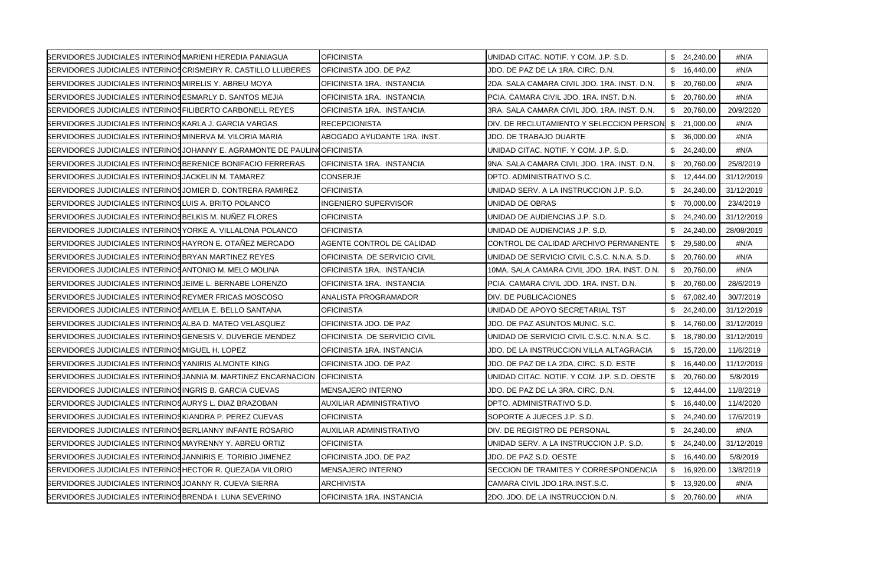| SERVIDORES JUDICIALES INTERINOS MARIENI HEREDIA PANIAGUA          |                                                                           | <b>OFICINISTA</b>              | UNIDAD CITAC. NOTIF. Y COM. J.P. S.D.        |    | \$24,240.00  | #N/A       |
|-------------------------------------------------------------------|---------------------------------------------------------------------------|--------------------------------|----------------------------------------------|----|--------------|------------|
|                                                                   | SERVIDORES JUDICIALES INTERINOSCRISMEIRY R. CASTILLO LLUBERES             | OFICINISTA JDO. DE PAZ         | JDO. DE PAZ DE LA 1RA. CIRC. D.N.            |    | \$16,440.00  | #N/A       |
| SERVIDORES JUDICIALES INTERINOSMIRELIS Y. ABREU MOYA              |                                                                           | OFICINISTA 1RA. INSTANCIA      | 2DA. SALA CAMARA CIVIL JDO. 1RA. INST. D.N.  |    | \$20,760.00  | #N/A       |
| <b>SERVIDORES JUDICIALES INTERINOSESMARLY D. SANTOS MEJIA</b>     |                                                                           | OFICINISTA 1RA. INSTANCIA      | PCIA. CAMARA CIVIL JDO. 1RA. INST. D.N.      |    | \$20,760.00  | #N/A       |
| <b>SERVIDORES JUDICIALES INTERINOS FILIBERTO CARBONELL REYES</b>  |                                                                           | OFICINISTA 1RA. INSTANCIA      | 3RA. SALA CAMARA CIVIL JDO. 1RA. INST. D.N.  |    | \$20,760.00  | 20/9/2020  |
| SERVIDORES JUDICIALES INTERINOSKARLA J. GARCIA VARGAS             |                                                                           | <b>RECEPCIONISTA</b>           | DIV. DE RECLUTAMIENTO Y SELECCION PERSON     |    | \$21,000.00  | #N/A       |
| SERVIDORES JUDICIALES INTERINOSMINERVA M. VILORIA MARIA           |                                                                           | ABOGADO AYUDANTE 1RA. INST.    | <b>JDO. DE TRABAJO DUARTE</b>                |    | \$ 36,000.00 | #N/A       |
|                                                                   | SERVIDORES JUDICIALES INTERINOS JOHANNY E. AGRAMONTE DE PAULINO FICINISTA |                                | UNIDAD CITAC, NOTIF, Y COM, J.P. S.D.        |    | \$24,240.00  | #N/A       |
| <b>SERVIDORES JUDICIALES INTERINOSBERENICE BONIFACIO FERRERAS</b> |                                                                           | OFICINISTA 1RA. INSTANCIA      | 9NA. SALA CAMARA CIVIL JDO. 1RA. INST. D.N.  |    | \$ 20,760.00 | 25/8/2019  |
| SERVIDORES JUDICIALES INTERINOS JACKELIN M. TAMAREZ               |                                                                           | CONSERJE                       | DPTO. ADMINISTRATIVO S.C.                    |    | \$12,444.00  | 31/12/2019 |
| <b>SERVIDORES JUDICIALES INTERINOS JOMIER D. CONTRERA RAMIREZ</b> |                                                                           | <b>OFICINISTA</b>              | UNIDAD SERV. A LA INSTRUCCION J.P. S.D.      |    | \$24,240.00  | 31/12/2019 |
| SERVIDORES JUDICIALES INTERINOSLUIS A. BRITO POLANCO              |                                                                           | <b>INGENIERO SUPERVISOR</b>    | UNIDAD DE OBRAS                              |    | \$70,000.00  | 23/4/2019  |
| SERVIDORES JUDICIALES INTERINOS BELKIS M. NUÑEZ FLORES            |                                                                           | <b>OFICINISTA</b>              | UNIDAD DE AUDIENCIAS J.P. S.D.               |    | \$24,240.00  | 31/12/2019 |
| SERVIDORES JUDICIALES INTERINOSYORKE A. VILLALONA POLANCO         |                                                                           | <b>OFICINISTA</b>              | UNIDAD DE AUDIENCIAS J.P. S.D.               |    | \$24,240.00  | 28/08/2019 |
| <b>SERVIDORES JUDICIALES INTERINOSHAYRON E. OTANEZ MERCADO</b>    |                                                                           | AGENTE CONTROL DE CALIDAD      | CONTROL DE CALIDAD ARCHIVO PERMANENTE        | S. | 29,580.00    | #N/A       |
| SERVIDORES JUDICIALES INTERINOS BRYAN MARTINEZ REYES              |                                                                           | OFICINISTA DE SERVICIO CIVIL   | UNIDAD DE SERVICIO CIVIL C.S.C. N.N.A. S.D.  |    | \$20,760.00  | #N/A       |
| SERVIDORES JUDICIALES INTERINOS ANTONIO M. MELO MOLINA            |                                                                           | OFICINISTA 1RA. INSTANCIA      | 10MA. SALA CAMARA CIVIL JDO. 1RA. INST. D.N. |    | \$20,760.00  | #N/A       |
| SERVIDORES JUDICIALES INTERINOS JEIME L. BERNABE LORENZO          |                                                                           | OFICINISTA 1RA. INSTANCIA      | PCIA. CAMARA CIVIL JDO. 1RA. INST. D.N.      |    | \$20,760.00  | 28/6/2019  |
| <b>BERVIDORES JUDICIALES INTERINOS REYMER FRICAS MOSCOSO</b>      |                                                                           | ANALISTA PROGRAMADOR           | DIV. DE PUBLICACIONES                        |    | \$67,082.40  | 30/7/2019  |
| SERVIDORES JUDICIALES INTERINOSAMELIA E. BELLO SANTANA            |                                                                           | <b>OFICINISTA</b>              | UNIDAD DE APOYO SECRETARIAL TST              | \$ | 24,240.00    | 31/12/2019 |
| <b>SERVIDORES JUDICIALES INTERINOSALBA D. MATEO VELASQUEZ</b>     |                                                                           | OFICINISTA JDO. DE PAZ         | JDO. DE PAZ ASUNTOS MUNIC. S.C.              |    | \$14,760.00  | 31/12/2019 |
| SERVIDORES JUDICIALES INTERINOS GENESIS V. DUVERGE MENDEZ         |                                                                           | OFICINISTA DE SERVICIO CIVIL   | UNIDAD DE SERVICIO CIVIL C.S.C. N.N.A. S.C.  |    | \$18,780.00  | 31/12/2019 |
| SERVIDORES JUDICIALES INTERINOS MIGUEL H. LOPEZ                   |                                                                           | OFICINISTA 1RA. INSTANCIA      | JDO. DE LA INSTRUCCION VILLA ALTAGRACIA      |    | \$15,720.00  | 11/6/2019  |
| <b>SERVIDORES JUDICIALES INTERINOSYANIRIS ALMONTE KING</b>        |                                                                           | OFICINISTA JDO. DE PAZ         | JDO. DE PAZ DE LA 2DA. CIRC. S.D. ESTE       |    | \$16.440.00  | 11/12/2019 |
|                                                                   | SERVIDORES JUDICIALES INTERINOS JANNIA M. MARTINEZ ENCARNACION            | <b>OFICINISTA</b>              | UNIDAD CITAC. NOTIF. Y COM. J.P. S.D. OESTE  |    | \$20,760.00  | 5/8/2019   |
| <b>SERVIDORES JUDICIALES INTERINOSINGRIS B. GARCIA CUEVAS</b>     |                                                                           | <b>MENSAJERO INTERNO</b>       | JDO. DE PAZ DE LA 3RA. CIRC. D.N.            |    | \$12,444.00  | 11/8/2019  |
| SERVIDORES JUDICIALES INTERINOS AURYS L. DIAZ BRAZOBAN            |                                                                           | AUXILIAR ADMINISTRATIVO        | DPTO. ADMINISTRATIVO S.D.                    |    | \$16,440.00  | 11/4/2020  |
| <b>SERVIDORES JUDICIALES INTERINOSKIANDRA P. PEREZ CUEVAS</b>     |                                                                           | <b>OFICINISTA</b>              | SOPORTE A JUECES J.P. S.D.                   |    | \$24,240.00  | 17/6/2019  |
| <b>SERVIDORES JUDICIALES INTERINOS BERLIANNY INFANTE ROSARIO</b>  |                                                                           | <b>AUXILIAR ADMINISTRATIVO</b> | DIV. DE REGISTRO DE PERSONAL                 |    | \$24,240.00  | #N/A       |
| <b>SERVIDORES JUDICIALES INTERINOSMAYRENNY Y. ABREU ORTIZ</b>     |                                                                           | <b>OFICINISTA</b>              | UNIDAD SERV. A LA INSTRUCCION J.P. S.D.      |    | \$24,240.00  | 31/12/2019 |
| SERVIDORES JUDICIALES INTERINOS JANNIRIS E. TORIBIO JIMENEZ       |                                                                           | OFICINISTA JDO. DE PAZ         | JDO. DE PAZ S.D. OESTE                       |    | \$16,440.00  | 5/8/2019   |
| SERVIDORES JUDICIALES INTERINOSHECTOR R. QUEZADA VILORIO          |                                                                           | MENSAJERO INTERNO              | SECCION DE TRAMITES Y CORRESPONDENCIA        |    | \$16,920.00  | 13/8/2019  |
| SERVIDORES JUDICIALES INTERINOS JOANNY R. CUEVA SIERRA            |                                                                           | <b>ARCHIVISTA</b>              | CAMARA CIVIL JDO.1RA.INST.S.C.               |    | \$13,920.00  | #N/A       |
| SERVIDORES JUDICIALES INTERINOS BRENDA I. LUNA SEVERINO           |                                                                           | OFICINISTA 1RA. INSTANCIA      | 2DO. JDO. DE LA INSTRUCCION D.N.             |    | \$ 20,760.00 | #N/A       |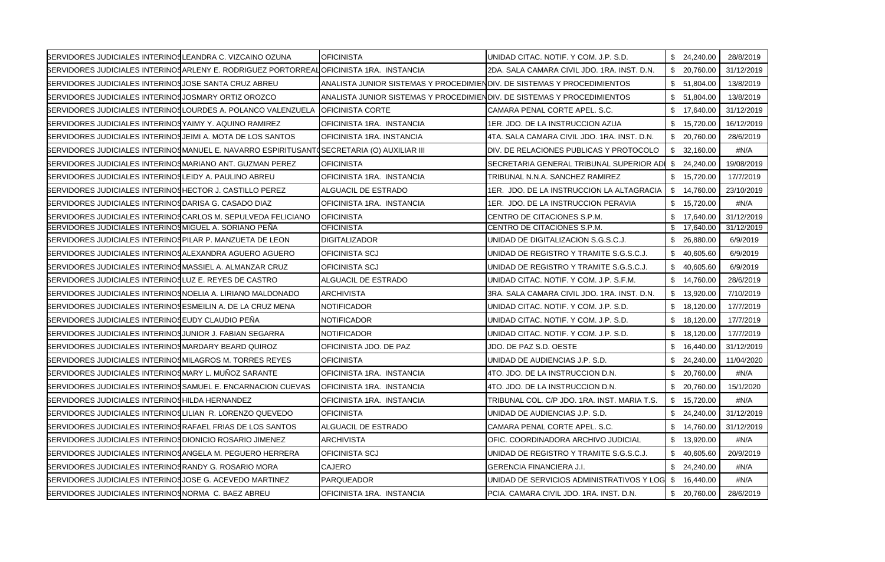| SERVIDORES JUDICIALES INTERINOS LEANDRA C. VIZCAINO OZUNA          |                                                                                           | <b>OFICINISTA</b>                                                       | UNIDAD CITAC, NOTIF, Y COM, J.P. S.D.                  | \$24,240.00     | 28/8/2019  |
|--------------------------------------------------------------------|-------------------------------------------------------------------------------------------|-------------------------------------------------------------------------|--------------------------------------------------------|-----------------|------------|
|                                                                    | BERVIDORES JUDICIALES INTERINOSARLENY E. RODRIGUEZ PORTORREALIOFICINISTA 1RA. INSTANCIA   |                                                                         | 2DA, SALA CAMARA CIVIL JDO, 1RA, INST, D.N.            | \$ 20,760.00    | 31/12/2019 |
| SERVIDORES JUDICIALES INTERINOS JOSE SANTA CRUZ ABREU              |                                                                                           | ANALISTA JUNIOR SISTEMAS Y PROCEDIMIENDIV. DE SISTEMAS Y PROCEDIMIENTOS |                                                        | \$51,804.00     | 13/8/2019  |
| SERVIDORES JUDICIALES INTERINOSJOSMARY ORTIZ OROZCO                |                                                                                           | ANALISTA JUNIOR SISTEMAS Y PROCEDIMIENDIV. DE SISTEMAS Y PROCEDIMIENTOS |                                                        | \$51,804.00     | 13/8/2019  |
|                                                                    | SERVIDORES JUDICIALES INTERINOSLOURDES A. POLANCO VALENZUELA                              | <b>I</b> OFICINISTA CORTE                                               | CAMARA PENAL CORTE APEL. S.C.                          | \$17,640.00     | 31/12/2019 |
| <b>SERVIDORES JUDICIALES INTERINOSYAIMY Y. AQUINO RAMIREZ</b>      |                                                                                           | OFICINISTA 1RA. INSTANCIA                                               | 1ER. JDO. DE LA INSTRUCCION AZUA                       | \$15,720.00     | 16/12/2019 |
| SERVIDORES JUDICIALES INTERINOS JEIMI A. MOTA DE LOS SANTOS        |                                                                                           | OFICINISTA 1RA. INSTANCIA                                               | 4TA. SALA CAMARA CIVIL JDO. 1RA. INST. D.N.            | \$<br>20,760.00 | 28/6/2019  |
|                                                                    | BERVIDORES JUDICIALES INTERINOSMANUEL E. NAVARRO ESPIRITUSANT(SECRETARIA (O) AUXILIAR III |                                                                         | DIV. DE RELACIONES PUBLICAS Y PROTOCOLO                | \$32,160.00     | #N/A       |
| SERVIDORES JUDICIALES INTERINOSMARIANO ANT. GUZMAN PEREZ           |                                                                                           | <b>OFICINISTA</b>                                                       | SECRETARIA GENERAL TRIBUNAL SUPERIOR ADI               | \$24,240.00     | 19/08/2019 |
| SERVIDORES JUDICIALES INTERINOSLEIDY A. PAULINO ABREU              |                                                                                           | OFICINISTA 1RA. INSTANCIA                                               | TRIBUNAL N.N.A. SANCHEZ RAMIREZ                        | \$15,720.00     | 17/7/2019  |
| SERVIDORES JUDICIALES INTERINOS HECTOR J. CASTILLO PEREZ           |                                                                                           | ALGUACIL DE ESTRADO                                                     | 1ER. JDO. DE LA INSTRUCCION LA ALTAGRACIA              | \$14,760.00     | 23/10/2019 |
| SERVIDORES JUDICIALES INTERINOS DARISA G. CASADO DIAZ              |                                                                                           | OFICINISTA 1RA. INSTANCIA                                               | 1ER. JDO. DE LA INSTRUCCION PERAVIA                    | \$15,720.00     | #N/A       |
| SERVIDORES JUDICIALES INTERINOSCARLOS M. SEPULVEDA FELICIANO       |                                                                                           | <b>OFICINISTA</b>                                                       | CENTRO DE CITACIONES S.P.M.                            | \$ 17.640.00    | 31/12/2019 |
| SERVIDORES JUDICIALES INTERINOS MIGUEL A. SORIANO PEÑA             |                                                                                           | <b>OFICINISTA</b>                                                       | CENTRO DE CITACIONES S.P.M.                            | \$<br>17,640.00 | 31/12/2019 |
| <b>SERVIDORES JUDICIALES INTERINOSPILAR P. MANZUETA DE LEON</b>    |                                                                                           | <b>DIGITALIZADOR</b>                                                    | UNIDAD DE DIGITALIZACION S.G.S.C.J.                    | \$26,880.00     | 6/9/2019   |
| SERVIDORES JUDICIALES INTERINOSALEXANDRA AGUERO AGUERO             |                                                                                           | OFICINISTA SCJ                                                          | UNIDAD DE REGISTRO Y TRAMITE S.G.S.C.J.                | \$40,605.60     | 6/9/2019   |
| <b>SERVIDORES JUDICIALES INTERINOSMASSIEL A. ALMANZAR CRUZ</b>     |                                                                                           | OFICINISTA SCJ                                                          | UNIDAD DE REGISTRO Y TRAMITE S.G.S.C.J.                | \$40,605.60     | 6/9/2019   |
| SERVIDORES JUDICIALES INTERINOSLUZ E. REYES DE CASTRO              |                                                                                           | ALGUACIL DE ESTRADO                                                     | UNIDAD CITAC, NOTIF, Y COM, J.P. S.F.M.                | \$14,760.00     | 28/6/2019  |
| <b>SERVIDORES JUDICIALES INTERINOS NOELIA A. LIRIANO MALDONADO</b> |                                                                                           | <b>ARCHIVISTA</b>                                                       | 3RA. SALA CAMARA CIVIL JDO. 1RA. INST. D.N.            | \$13,920.00     | 7/10/2019  |
| SERVIDORES JUDICIALES INTERINOSESMEILIN A. DE LA CRUZ MENA         |                                                                                           | <b>NOTIFICADOR</b>                                                      | UNIDAD CITAC. NOTIF. Y COM. J.P. S.D.                  | \$<br>18,120.00 | 17/7/2019  |
| SERVIDORES JUDICIALES INTERINOSEUDY CLAUDIO PENA                   |                                                                                           | <b>NOTIFICADOR</b>                                                      | UNIDAD CITAC. NOTIF. Y COM. J.P. S.D.                  | \$<br>18,120.00 | 17/7/2019  |
| <b>SERVIDORES JUDICIALES INTERINOS JUNIOR J. FABIAN SEGARRA</b>    |                                                                                           | <b>NOTIFICADOR</b>                                                      | UNIDAD CITAC. NOTIF. Y COM. J.P. S.D.                  | \$18,120.00     | 17/7/2019  |
| SERVIDORES JUDICIALES INTERINOSMARDARY BEARD QUIROZ                |                                                                                           | OFICINISTA JDO. DE PAZ                                                  | JDO. DE PAZ S.D. OESTE                                 | \$<br>16,440.00 | 31/12/2019 |
| <b>SERVIDORES JUDICIALES INTERINOSMILAGROS M. TORRES REYES</b>     |                                                                                           | <b>OFICINISTA</b>                                                       | UNIDAD DE AUDIENCIAS J.P. S.D.                         | \$24,240.00     | 11/04/2020 |
| SERVIDORES JUDICIALES INTERINOSMARY L. MUÑOZ SARANTE               |                                                                                           | OFICINISTA 1RA. INSTANCIA                                               | 4TO. JDO. DE LA INSTRUCCION D.N.                       | \$20,760.00     | #N/A       |
| SERVIDORES JUDICIALES INTERINOSSAMUEL E. ENCARNACION CUEVAS        |                                                                                           | OFICINISTA 1RA. INSTANCIA                                               | 4TO. JDO. DE LA INSTRUCCION D.N.                       | \$20,760.00     | 15/1/2020  |
| SERVIDORES JUDICIALES INTERINOSHILDA HERNANDEZ                     |                                                                                           | OFICINISTA 1RA. INSTANCIA                                               | TRIBUNAL COL. C/P JDO. 1RA. INST. MARIA T.S.           | \$15,720.00     | #N/A       |
| SERVIDORES JUDICIALES INTERINOSLILIAN R. LORENZO QUEVEDO           |                                                                                           | <b>OFICINISTA</b>                                                       | UNIDAD DE AUDIENCIAS J.P. S.D.                         | \$24,240.00     | 31/12/2019 |
| SERVIDORES JUDICIALES INTERINOSRAFAEL FRIAS DE LOS SANTOS          |                                                                                           | ALGUACIL DE ESTRADO                                                     | CAMARA PENAL CORTE APEL, S.C.                          | \$<br>14,760.00 | 31/12/2019 |
| SERVIDORES JUDICIALES INTERINOS DIONICIO ROSARIO JIMENEZ           |                                                                                           | <b>ARCHIVISTA</b>                                                       | OFIC. COORDINADORA ARCHIVO JUDICIAL                    | \$13,920.00     | #N/A       |
| <b>SERVIDORES JUDICIALES INTERINOS ANGELA M. PEGUERO HERRERA</b>   |                                                                                           | OFICINISTA SCJ                                                          | UNIDAD DE REGISTRO Y TRAMITE S.G.S.C.J.                | \$40,605.60     | 20/9/2019  |
| SERVIDORES JUDICIALES INTERINOS RANDY G. ROSARIO MORA              |                                                                                           | CAJERO                                                                  | <b>GERENCIA FINANCIERA J.I.</b>                        | \$24,240.00     | #N/A       |
| <b>SERVIDORES JUDICIALES INTERINOS JOSE G. ACEVEDO MARTINEZ</b>    |                                                                                           | <b>PARQUEADOR</b>                                                       | UNIDAD DE SERVICIOS ADMINISTRATIVOS Y LOG \$ 16,440.00 |                 | #N/A       |
| SERVIDORES JUDICIALES INTERINOS NORMA C. BAEZ ABREU                |                                                                                           | OFICINISTA 1RA. INSTANCIA                                               | PCIA. CAMARA CIVIL JDO. 1RA. INST. D.N.                | \$ 20.760.00    | 28/6/2019  |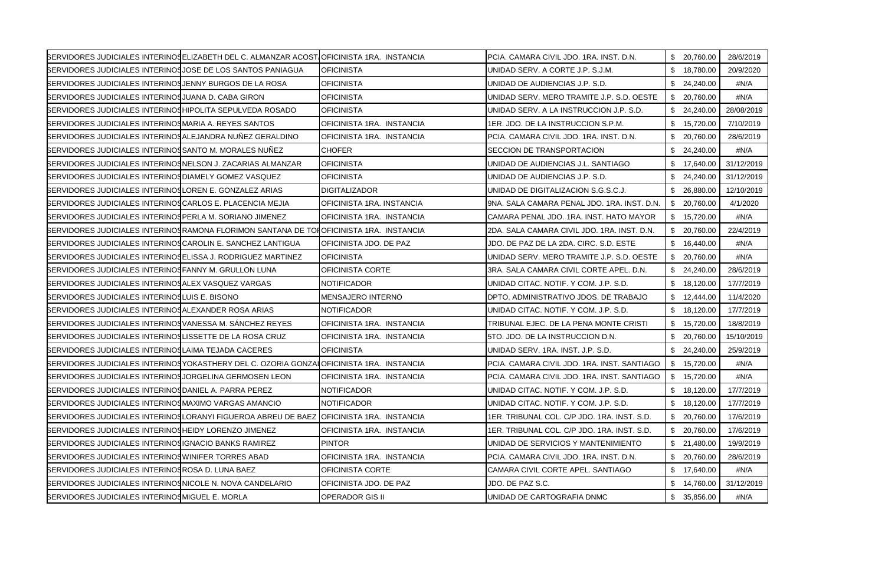|                                                                    | <b>SERVIDORES JUDICIALES INTERINOSELIZABETH DEL C. ALMANZAR ACOST OFICINISTA 1RA. INSTANCIA</b> |                           | PCIA. CAMARA CIVIL JDO. 1RA. INST. D.N.     | \$20,760.00  | 28/6/2019  |
|--------------------------------------------------------------------|-------------------------------------------------------------------------------------------------|---------------------------|---------------------------------------------|--------------|------------|
| SERVIDORES JUDICIALES INTERINOS JOSE DE LOS SANTOS PANIAGUA        |                                                                                                 | <b>OFICINISTA</b>         | UNIDAD SERV. A CORTE J.P. S.J.M.            | \$ 18,780.00 | 20/9/2020  |
| SERVIDORES JUDICIALES INTERINOS JENNY BURGOS DE LA ROSA            |                                                                                                 | <b>OFICINISTA</b>         | UNIDAD DE AUDIENCIAS J.P. S.D.              | \$24,240.00  | #N/A       |
| SERVIDORES JUDICIALES INTERINOS JUANA D. CABA GIRON                |                                                                                                 | <b>OFICINISTA</b>         | UNIDAD SERV. MERO TRAMITE J.P. S.D. OESTE   | \$20,760.00  | #N/A       |
| <b>SERVIDORES JUDICIALES INTERINOSHIPOLITA SEPULVEDA ROSADO</b>    |                                                                                                 | <b>OFICINISTA</b>         | UNIDAD SERV. A LA INSTRUCCION J.P. S.D.     | \$24,240.00  | 28/08/2019 |
| SERVIDORES JUDICIALES INTERINOS MARIA A. REYES SANTOS              |                                                                                                 | OFICINISTA 1RA. INSTANCIA | 1ER. JDO. DE LA INSTRUCCION S.P.M.          | \$15,720.00  | 7/10/2019  |
| <b>SERVIDORES JUDICIALES INTERINOSALEJANDRA NUÑEZ GERALDINO</b>    |                                                                                                 | OFICINISTA 1RA. INSTANCIA | PCIA, CAMARA CIVIL JDO, 1RA, INST, D.N.     | \$20,760.00  | 28/6/2019  |
| SERVIDORES JUDICIALES INTERINOS SANTO M. MORALES NUÑEZ             |                                                                                                 | <b>CHOFER</b>             | SECCION DE TRANSPORTACION                   | \$24,240.00  | #N/A       |
| <b>SERVIDORES JUDICIALES INTERINOSNELSON J. ZACARIAS ALMANZAR</b>  |                                                                                                 | <b>OFICINISTA</b>         | UNIDAD DE AUDIENCIAS J.L. SANTIAGO          | \$ 17,640.00 | 31/12/2019 |
| <b>SERVIDORES JUDICIALES INTERINOSDIAMELY GOMEZ VASQUEZ</b>        |                                                                                                 | <b>OFICINISTA</b>         | UNIDAD DE AUDIENCIAS J.P. S.D.              | \$24,240.00  | 31/12/2019 |
| SERVIDORES JUDICIALES INTERINOSLOREN E. GONZALEZ ARIAS             |                                                                                                 | <b>DIGITALIZADOR</b>      | UNIDAD DE DIGITALIZACION S.G.S.C.J.         | \$26,880.00  | 12/10/2019 |
| SERVIDORES JUDICIALES INTERINOS CARLOS E. PLACENCIA MEJIA          |                                                                                                 | OFICINISTA 1RA. INSTANCIA | 9NA. SALA CAMARA PENAL JDO. 1RA. INST. D.N. | \$ 20,760.00 | 4/1/2020   |
| SERVIDORES JUDICIALES INTERINOS PERLA M. SORIANO JIMENEZ           |                                                                                                 | OFICINISTA 1RA. INSTANCIA | CAMARA PENAL JDO. 1RA. INST. HATO MAYOR     | \$ 15,720.00 | #N/A       |
|                                                                    | BERVIDORES JUDICIALES INTERINOSRAMONA FLORIMON SANTANA DE TOHOFICINISTA 1RA. INSTANCIA          |                           | 2DA. SALA CAMARA CIVIL JDO. 1RA. INST. D.N. | \$20,760.00  | 22/4/2019  |
| <b>SERVIDORES JUDICIALES INTERINOS CAROLIN E. SANCHEZ LANTIGUA</b> |                                                                                                 | OFICINISTA JDO. DE PAZ    | JDO. DE PAZ DE LA 2DA. CIRC. S.D. ESTE      | \$16,440.00  | #N/A       |
| <b>SERVIDORES JUDICIALES INTERINOSELISSA J. RODRIGUEZ MARTINEZ</b> |                                                                                                 | <b>OFICINISTA</b>         | UNIDAD SERV. MERO TRAMITE J.P. S.D. OESTE   | \$20,760.00  | #N/A       |
| SERVIDORES JUDICIALES INTERINOS FANNY M. GRULLON LUNA              |                                                                                                 | <b>OFICINISTA CORTE</b>   | 3RA, SALA CAMARA CIVIL CORTE APEL, D.N.     | \$24,240.00  | 28/6/2019  |
| SERVIDORES JUDICIALES INTERINOSALEX VASQUEZ VARGAS                 |                                                                                                 | <b>NOTIFICADOR</b>        | UNIDAD CITAC. NOTIF. Y COM. J.P. S.D.       | \$18,120.00  | 17/7/2019  |
| SERVIDORES JUDICIALES INTERINOSLUIS E. BISONO                      |                                                                                                 | <b>MENSAJERO INTERNO</b>  | DPTO. ADMINISTRATIVO JDOS. DE TRABAJO       | \$12.444.00  | 11/4/2020  |
| SERVIDORES JUDICIALES INTERINOS ALEXANDER ROSA ARIAS               |                                                                                                 | NOTIFICADOR               | UNIDAD CITAC. NOTIF. Y COM. J.P. S.D.       | \$18,120.00  | 17/7/2019  |
| <b>SERVIDORES JUDICIALES INTERINOS VANESSA M. SANCHEZ REYES</b>    |                                                                                                 | OFICINISTA 1RA. INSTANCIA | TRIBUNAL EJEC. DE LA PENA MONTE CRISTI      | \$15,720.00  | 18/8/2019  |
| SERVIDORES JUDICIALES INTERINOSLISSETTE DE LA ROSA CRUZ            |                                                                                                 | OFICINISTA 1RA. INSTANCIA | 5TO. JDO. DE LA INSTRUCCION D.N.            | \$ 20,760.00 | 15/10/2019 |
| SERVIDORES JUDICIALES INTERINOS LAIMA TEJADA CACERES               |                                                                                                 | <b>OFICINISTA</b>         | UNIDAD SERV. 1RA. INST. J.P. S.D.           | \$24,240.00  | 25/9/2019  |
|                                                                    | BERVIDORES JUDICIALES INTERINOSYOKASTHERY DEL C. OZORIA GONZALOFICINISTA 1RA. INSTANCIA         |                           | PCIA. CAMARA CIVIL JDO. 1RA. INST. SANTIAGO | \$15,720.00  | #N/A       |
| <b>SERVIDORES JUDICIALES INTERINOS JORGELINA GERMOSEN LEON</b>     |                                                                                                 | OFICINISTA 1RA. INSTANCIA | PCIA. CAMARA CIVIL JDO. 1RA. INST. SANTIAGO | \$15,720.00  | #N/A       |
| SERVIDORES JUDICIALES INTERINOS DANIEL A. PARRA PEREZ              |                                                                                                 | NOTIFICADOR               | UNIDAD CITAC. NOTIF. Y COM. J.P. S.D.       | \$18,120.00  | 17/7/2019  |
| <b>SERVIDORES JUDICIALES INTERINOS MAXIMO VARGAS AMANCIO</b>       |                                                                                                 | <b>NOTIFICADOR</b>        | UNIDAD CITAC. NOTIF. Y COM. J.P. S.D.       | \$18,120.00  | 17/7/2019  |
|                                                                    | BERVIDORES JUDICIALES INTERINOSLORANYI FIGUEROA ABREU DE BAEZ OFICINISTA 1RA. INSTANCIA         |                           | 1ER. TRIBUNAL COL. C/P JDO. 1RA. INST. S.D. | \$20,760.00  | 17/6/2019  |
| <b>SERVIDORES JUDICIALES INTERINOSHEIDY LORENZO JIMENEZ</b>        |                                                                                                 | OFICINISTA 1RA. INSTANCIA | 1ER. TRIBUNAL COL. C/P JDO. 1RA. INST. S.D. | \$ 20.760.00 | 17/6/2019  |
| SERVIDORES JUDICIALES INTERINOSIGNACIO BANKS RAMIREZ               |                                                                                                 | <b>PINTOR</b>             | UNIDAD DE SERVICIOS Y MANTENIMIENTO         | \$21,480.00  | 19/9/2019  |
| SERVIDORES JUDICIALES INTERINOS WINIFER TORRES ABAD                |                                                                                                 | OFICINISTA 1RA. INSTANCIA | PCIA. CAMARA CIVIL JDO. 1RA. INST. D.N.     | \$ 20,760.00 | 28/6/2019  |
| SERVIDORES JUDICIALES INTERINOS ROSA D. LUNA BAEZ                  |                                                                                                 | OFICINISTA CORTE          | CAMARA CIVIL CORTE APEL. SANTIAGO           | \$17,640.00  | #N/A       |
| SERVIDORES JUDICIALES INTERINOS NICOLE N. NOVA CANDELARIO          |                                                                                                 | OFICINISTA JDO. DE PAZ    | JDO. DE PAZ S.C.                            | \$ 14,760.00 | 31/12/2019 |
| SERVIDORES JUDICIALES INTERINOS MIGUEL E. MORLA                    |                                                                                                 | <b>OPERADOR GIS II</b>    | UNIDAD DE CARTOGRAFIA DNMC                  | \$35,856.00  | #N/A       |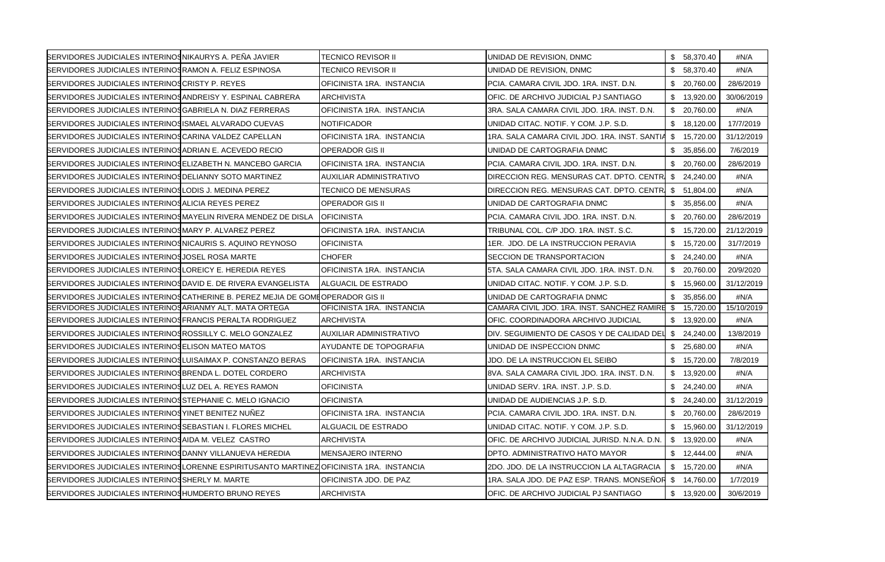| SERVIDORES JUDICIALES INTERINOS NIKAURYS A. PEÑA JAVIER               |                                                                                        | <b>TECNICO REVISOR II</b>     | UNIDAD DE REVISION, DNMC                                   | \$ 58,370.40    | #N/A       |
|-----------------------------------------------------------------------|----------------------------------------------------------------------------------------|-------------------------------|------------------------------------------------------------|-----------------|------------|
| <b>BERVIDORES JUDICIALES INTERINOS RAMON A. FELIZ ESPINOSA</b>        |                                                                                        | TECNICO REVISOR II            | UNIDAD DE REVISION, DNMC                                   | \$58,370.40     | #N/A       |
| <b>SERVIDORES JUDICIALES INTERINOS CRISTY P. REYES</b>                |                                                                                        | OFICINISTA 1RA. INSTANCIA     | PCIA. CAMARA CIVIL JDO. 1RA. INST. D.N.                    | \$20,760.00     | 28/6/2019  |
| <b>SERVIDORES JUDICIALES INTERINOS ANDREISY Y. ESPINAL CABRERA</b>    |                                                                                        | <b>ARCHIVISTA</b>             | OFIC. DE ARCHIVO JUDICIAL PJ SANTIAGO                      | \$13,920.00     | 30/06/2019 |
| <b>SERVIDORES JUDICIALES INTERINOS GABRIELA N. DIAZ FERRERAS</b>      |                                                                                        | OFICINISTA 1RA. INSTANCIA     | 3RA. SALA CAMARA CIVIL JDO. 1RA. INST. D.N.                | \$ 20,760.00    | #N/A       |
| SERVIDORES JUDICIALES INTERINOSISMAEL ALVARADO CUEVAS                 |                                                                                        | <b>NOTIFICADOR</b>            | UNIDAD CITAC. NOTIF. Y COM. J.P. S.D.                      | \$18,120.00     | 17/7/2019  |
| SERVIDORES JUDICIALES INTERINOS CARINA VALDEZ CAPELLAN                |                                                                                        | OFICINISTA 1RA. INSTANCIA     | 1RA. SALA CAMARA CIVIL JDO. 1RA. INST. SANTIA \$ 15,720.00 |                 | 31/12/2019 |
| SERVIDORES JUDICIALES INTERINOS ADRIAN E. ACEVEDO RECIO               |                                                                                        | <b>OPERADOR GIS II</b>        | UNIDAD DE CARTOGRAFIA DNMC                                 | \$35,856.00     | 7/6/2019   |
| <b>SERVIDORES JUDICIALES INTERINOSELIZABETH N. MANCEBO GARCIA</b>     |                                                                                        | OFICINISTA 1RA. INSTANCIA     | PCIA. CAMARA CIVIL JDO. 1RA. INST. D.N.                    | \$ 20,760.00    | 28/6/2019  |
| <b>SERVIDORES JUDICIALES INTERINOSDELIANNY SOTO MARTINEZ</b>          |                                                                                        | AUXILIAR ADMINISTRATIVO       | DIRECCION REG. MENSURAS CAT. DPTO. CENTR \$ 24,240.00      |                 | #N/A       |
| SERVIDORES JUDICIALES INTERINOSLODIS J. MEDINA PEREZ                  |                                                                                        | <b>TECNICO DE MENSURAS</b>    | DIRECCION REG. MENSURAS CAT. DPTO. CENTRI                  | \$51,804.00     | #N/A       |
| SERVIDORES JUDICIALES INTERINOS ALICIA REYES PEREZ                    |                                                                                        | <b>OPERADOR GIS II</b>        | UNIDAD DE CARTOGRAFIA DNMC                                 | \$<br>35,856.00 | #N/A       |
|                                                                       | SERVIDORES JUDICIALES INTERINOS MAYELIN RIVERA MENDEZ DE DISLA                         | <b>OFICINISTA</b>             | PCIA. CAMARA CIVIL JDO. 1RA. INST. D.N.                    | \$ 20,760.00    | 28/6/2019  |
| <b>SERVIDORES JUDICIALES INTERINOSMARY P. ALVAREZ PEREZ</b>           |                                                                                        | OFICINISTA 1RA. INSTANCIA     | TRIBUNAL COL. C/P JDO. 1RA. INST. S.C.                     | \$ 15,720.00    | 21/12/2019 |
| <b>SERVIDORES JUDICIALES INTERINOSNICAURIS S. AQUINO REYNOSO</b>      |                                                                                        | <b>OFICINISTA</b>             | 1ER. JDO. DE LA INSTRUCCION PERAVIA                        | \$15,720.00     | 31/7/2019  |
| SERVIDORES JUDICIALES INTERINOS JOSEL ROSA MARTE                      |                                                                                        | <b>CHOFER</b>                 | <b>SECCION DE TRANSPORTACION</b>                           | \$24,240.00     | #N/A       |
| SERVIDORES JUDICIALES INTERINOS LOREICY E. HEREDIA REYES              |                                                                                        | OFICINISTA 1RA. INSTANCIA     | 5TA, SALA CAMARA CIVIL JDO, 1RA, INST, D.N.                | \$20,760.00     | 20/9/2020  |
| <b>SERVIDORES JUDICIALES INTERINOS DAVID E. DE RIVERA EVANGELISTA</b> |                                                                                        | <b>ALGUACIL DE ESTRADO</b>    | UNIDAD CITAC. NOTIF. Y COM. J.P. S.D.                      | \$ 15,960.00    | 31/12/2019 |
|                                                                       | BERVIDORES JUDICIALES INTERINOS CATHERINE B. PEREZ MEJIA DE GOME OPERADOR GIS II       |                               | UNIDAD DE CARTOGRAFIA DNMC                                 | \$35,856.00     | #N/A       |
| SERVIDORES JUDICIALES INTERINOSARIANMY ALT. MATA ORTEGA               |                                                                                        | OFICINISTA 1RA. INSTANCIA     | CAMARA CIVIL JDO. 1RA. INST. SANCHEZ RAMIRE                | \$<br>15,720.00 | 15/10/2019 |
| BERVIDORES JUDICIALES INTERINOSFRANCIS PERALTA RODRIGUEZ              |                                                                                        | <b>ARCHIVISTA</b>             | OFIC. COORDINADORA ARCHIVO JUDICIAL                        | \$13,920.00     | #N/A       |
| <b>SERVIDORES JUDICIALES INTERINOS ROSSILLY C. MELO GONZALEZ</b>      |                                                                                        | AUXILIAR ADMINISTRATIVO       | DIV. SEGUIMIENTO DE CASOS Y DE CALIDAD DEL                 | \$24,240.00     | 13/8/2019  |
| SERVIDORES JUDICIALES INTERINOSELISON MATEO MATOS                     |                                                                                        | <b>AYUDANTE DE TOPOGRAFIA</b> | UNIDAD DE INSPECCION DNMC                                  | \$25,680.00     | #N/A       |
| <b>SERVIDORES JUDICIALES INTERINOS LUISAIMAX P. CONSTANZO BERAS</b>   |                                                                                        | OFICINISTA 1RA. INSTANCIA     | JDO. DE LA INSTRUCCION EL SEIBO                            | \$15,720.00     | 7/8/2019   |
| <b>SERVIDORES JUDICIALES INTERINOSBRENDA L. DOTEL CORDERO</b>         |                                                                                        | <b>ARCHIVISTA</b>             | 8VA. SALA CAMARA CIVIL JDO. 1RA. INST. D.N.                | \$13,920.00     | #N/A       |
| SERVIDORES JUDICIALES INTERINOSLUZ DEL A. REYES RAMON                 |                                                                                        | <b>OFICINISTA</b>             | UNIDAD SERV. 1RA. INST. J.P. S.D.                          | \$24,240.00     | #N/A       |
| SERVIDORES JUDICIALES INTERINOS STEPHANIE C. MELO IGNACIO             |                                                                                        | <b>OFICINISTA</b>             | UNIDAD DE AUDIENCIAS J.P. S.D.                             | \$24,240.00     | 31/12/2019 |
| SERVIDORES JUDICIALES INTERINOS YINET BENITEZ NUÑEZ                   |                                                                                        | OFICINISTA 1RA. INSTANCIA     | PCIA. CAMARA CIVIL JDO. 1RA. INST. D.N.                    | \$20,760.00     | 28/6/2019  |
| <b>SERVIDORES JUDICIALES INTERINOS SEBASTIAN I. FLORES MICHEL</b>     |                                                                                        | ALGUACIL DE ESTRADO           | UNIDAD CITAC. NOTIF. Y COM. J.P. S.D.                      | \$15,960.00     | 31/12/2019 |
| SERVIDORES JUDICIALES INTERINOS AIDA M. VELEZ CASTRO                  |                                                                                        | ARCHIVISTA                    | OFIC. DE ARCHIVO JUDICIAL JURISD. N.N.A. D.N.              | \$13,920.00     | #N/A       |
| <b>SERVIDORES JUDICIALES INTERINOSDANNY VILLANUEVA HEREDIA</b>        |                                                                                        | <b>MENSAJERO INTERNO</b>      | DPTO. ADMINISTRATIVO HATO MAYOR                            | \$12,444.00     | #N/A       |
|                                                                       | BERVIDORES JUDICIALES INTERINOSLORENNE ESPIRITUSANTO MARTINEZOFICINISTA 1RA. INSTANCIA |                               | 2DO. JDO. DE LA INSTRUCCION LA ALTAGRACIA                  | \$15,720.00     | #N/A       |
| SERVIDORES JUDICIALES INTERINOS SHERLY M. MARTE                       |                                                                                        | OFICINISTA JDO. DE PAZ        | 1RA. SALA JDO. DE PAZ ESP. TRANS. MONSEÑOR                 | \$14,760.00     | 1/7/2019   |
| SERVIDORES JUDICIALES INTERINOS HUMDERTO BRUNO REYES                  |                                                                                        | <b>ARCHIVISTA</b>             | OFIC. DE ARCHIVO JUDICIAL PJ SANTIAGO                      | \$ 13,920.00    | 30/6/2019  |